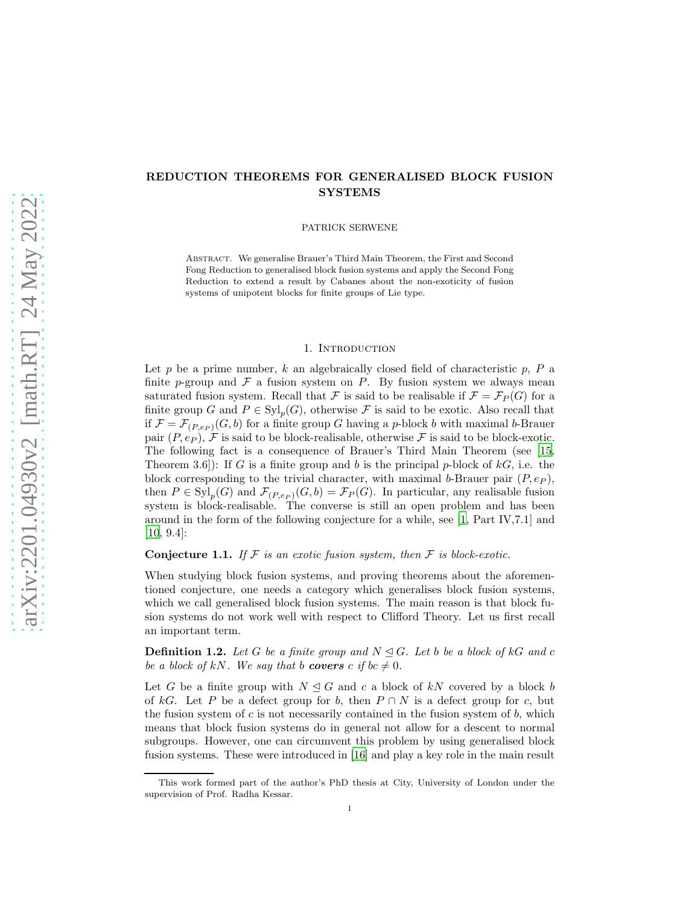# REDUCTION THEOREMS FOR GENERALISED BLOCK FUSION **SYSTEMS**

PATRICK SERWENE

Abstract. We generalise Brauer's Third Main Theorem, the First and Second Fong Reduction to generalised block fusion systems and apply the Second Fong Reduction to extend a result by Cabanes about the non-exoticity of fusion systems of unipotent blocks for finite groups of Lie type.

#### 1. Introduction

Let p be a prime number, k an algebraically closed field of characteristic  $p$ ,  $P$  a finite p-group and  $\mathcal F$  a fusion system on P. By fusion system we always mean saturated fusion system. Recall that F is said to be realisable if  $\mathcal{F} = \mathcal{F}_P(G)$  for a finite group G and  $P \in \mathrm{Syl}_p(G)$ , otherwise F is said to be exotic. Also recall that if  $\mathcal{F} = \mathcal{F}_{(P,e_P)}(G, b)$  for a finite group G having a p-block b with maximal b-Brauer pair  $(P, e_P)$ , F is said to be block-realisable, otherwise F is said to be block-exotic. The following fact is a consequence of Brauer's Third Main Theorem (see [\[15,](#page-18-0) Theorem 3.6): If G is a finite group and b is the principal p-block of  $kG$ , i.e. the block corresponding to the trivial character, with maximal b-Brauer pair  $(P, e_P)$ , then  $P \in \mathrm{Syl}_p(G)$  and  $\mathcal{F}_{(P,e_P)}(G,b) = \mathcal{F}_P(G)$ . In particular, any realisable fusion system is block-realisable. The converse is still an open problem and has been around in the form of the following conjecture for a while, see [\[1,](#page-18-1) Part IV,7.1] and [\[10,](#page-18-2) 9.4]:

<span id="page-0-0"></span>**Conjecture 1.1.** If  $F$  is an exotic fusion system, then  $F$  is block-exotic.

When studying block fusion systems, and proving theorems about the aforementioned conjecture, one needs a category which generalises block fusion systems, which we call generalised block fusion systems. The main reason is that block fusion systems do not work well with respect to Clifford Theory. Let us first recall an important term.

**Definition 1.2.** Let G be a finite group and  $N \leq G$ . Let b be a block of kG and c *be a block of kN. We say that b covers c if bc*  $\neq$  0*.* 

Let G be a finite group with  $N \triangleleft G$  and c a block of kN covered by a block b of kG. Let P be a defect group for b, then  $P \cap N$  is a defect group for c, but the fusion system of  $c$  is not necessarily contained in the fusion system of  $b$ , which means that block fusion systems do in general not allow for a descent to normal subgroups. However, one can circumvent this problem by using generalised block fusion systems. These were introduced in [\[16\]](#page-18-3) and play a key role in the main result

This work formed part of the author's PhD thesis at City, University of London under the supervision of Prof. Radha Kessar.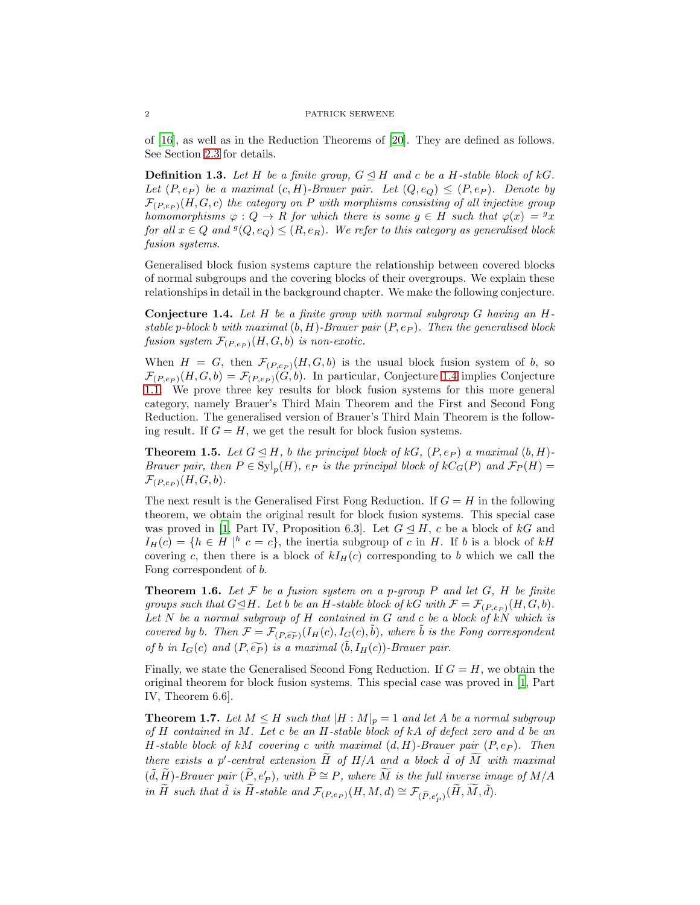of [\[16\]](#page-18-3), as well as in the Reduction Theorems of [\[20\]](#page-19-0). They are defined as follows. See Section [2.3](#page-5-0) for details.

**Definition 1.3.** Let H be a finite group,  $G \trianglelefteq H$  and c be a H-stable block of kG. *Let*  $(P, e_P)$  *be a maximal*  $(c, H)$ *-Brauer pair. Let*  $(Q, e_Q) \leq (P, e_P)$ *. Denote by*  $\mathcal{F}_{(P,e_P)}(H, G, c)$  *the category on* P *with morphisms consisting of all injective group homomorphisms*  $\varphi : Q \to R$  *for which there is some*  $g \in H$  *such that*  $\varphi(x) = g(x)$  $for \ all \ x \in Q \ and \ \mathcal{G}(Q,e_Q) \leq (R,e_R).$  We refer to this category as generalised block *fusion systems*.

Generalised block fusion systems capture the relationship between covered blocks of normal subgroups and the covering blocks of their overgroups. We explain these relationships in detail in the background chapter. We make the following conjecture.

<span id="page-1-0"></span>Conjecture 1.4. *Let* H *be a finite group with normal subgroup* G *having an* H*stable* p-block b with maximal  $(b, H)$ -Brauer pair  $(P, e_P)$ . Then the generalised block *fusion system*  $\mathcal{F}_{(P,e_P)}(H, G, b)$  *is non-exotic.* 

When  $H = G$ , then  $\mathcal{F}_{(P,e_P)}(H, G, b)$  is the usual block fusion system of b, so  $\mathcal{F}_{(P,e_P)}(H,G,b) = \mathcal{F}_{(P,e_P)}(G,b)$ . In particular, Conjecture [1.4](#page-1-0) implies Conjecture [1.1.](#page-0-0) We prove three key results for block fusion systems for this more general category, namely Brauer's Third Main Theorem and the First and Second Fong Reduction. The generalised version of Brauer's Third Main Theorem is the following result. If  $G = H$ , we get the result for block fusion systems.

<span id="page-1-1"></span>**Theorem 1.5.** Let  $G \trianglelefteq H$ , b the principal block of kG,  $(P, e_P)$  a maximal  $(b, H)$ -*Brauer pair, then*  $P \in \mathrm{Syl}_p(H)$ *, e<sub>P</sub> is the principal block of*  $kC_G(P)$  *and*  $\mathcal{F}_P(H)$  =  $\mathcal{F}_{(P,e_P)}(H,G,b).$ 

The next result is the Generalised First Fong Reduction. If  $G = H$  in the following theorem, we obtain the original result for block fusion systems. This special case was proved in [\[1,](#page-18-1) Part IV, Proposition 6.3]. Let  $G \trianglelefteq H$ , c be a block of kG and  $I_H(c) = \{h \in H \mid h \ c = c\},\$  the inertia subgroup of c in H. If b is a block of kH covering c, then there is a block of  $kI_H(c)$  corresponding to b which we call the Fong correspondent of b.

<span id="page-1-2"></span>**Theorem 1.6.** Let  $\mathcal F$  be a fusion system on a p-group P and let  $G$ , H be finite *groups such that*  $G \trianglelefteq H$ *. Let* b *be an* H-stable block of kG with  $\mathcal{F} = \mathcal{F}_{(P,e_P)}(H, G, b)$ . *Let* N *be a normal subgroup of* H *contained in* G *and* c *be a block of* kN *which is covered by* b. Then  $\mathcal{F} = \mathcal{F}_{(P,\widetilde{ep})}(I_H(c), I_G(c), \widetilde{b})$ *, where*  $\widetilde{b}$  *is the Fong correspondent of b in*  $I_G(c)$  *and*  $(P, \widetilde{e_P})$  *is a maximal*  $(\widetilde{b}, I_H(c))$ *-Brauer pair.* 

Finally, we state the Generalised Second Fong Reduction. If  $G = H$ , we obtain the original theorem for block fusion systems. This special case was proved in [\[1,](#page-18-1) Part IV, Theorem 6.6].

<span id="page-1-3"></span>**Theorem 1.7.** Let  $M \leq H$  such that  $|H : M|_p = 1$  and let A be a normal subgroup *of* H *contained in* M*. Let* c *be an* H*-stable block of* kA *of defect zero and* d *be an*  $H$ -stable block of kM covering c with maximal  $(d, H)$ -Brauer pair  $(P, e_P)$ . Then *there exists a*  $p'$ -central extension  $\widetilde{H}$  of  $H/A$  and a block  $\widetilde{d}$  of  $\widetilde{M}$  with maximal  $(\tilde{d}, \tilde{H})$ -Brauer pair  $(\tilde{P}, e'_{P})$ , with  $\tilde{P} \cong P$ , where  $\widetilde{M}$  is the full inverse image of  $M/A$ *in*  $\widetilde{H}$  *such that*  $\widetilde{d}$  *is*  $\widetilde{H}$ *-stable and*  $\mathcal{F}_{(P,e_P)}(H, M, d) \cong \mathcal{F}_{(\widetilde{P}, e'_P)}(\widetilde{H}, \widetilde{M}, \widetilde{d})$ *.*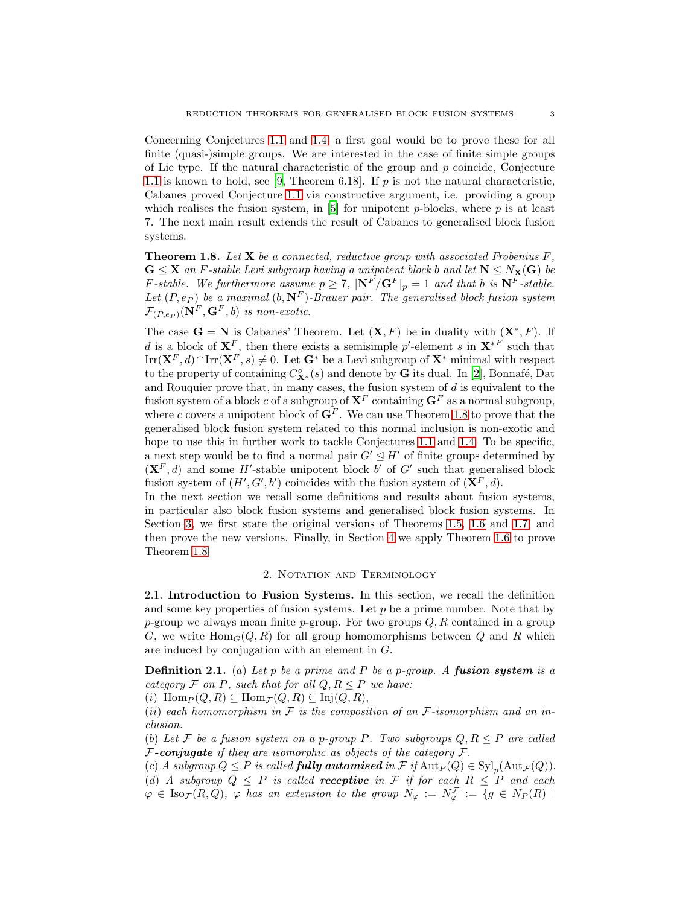Concerning Conjectures [1.1](#page-0-0) and [1.4,](#page-1-0) a first goal would be to prove these for all finite (quasi-)simple groups. We are interested in the case of finite simple groups of Lie type. If the natural characteristic of the group and  $p$  coincide, Conjecture [1.1](#page-0-0) is known to hold, see [\[9](#page-18-4), Theorem 6.18]. If p is not the natural characteristic, Cabanes proved Conjecture [1.1](#page-0-0) via constructive argument, i.e. providing a group which realises the fusion system, in  $[5]$  for unipotent p-blocks, where p is at least 7. The next main result extends the result of Cabanes to generalised block fusion systems.

<span id="page-2-0"></span>Theorem 1.8. *Let* X *be a connected, reductive group with associated Frobenius* F*,*  $G \leq X$  *an* F-stable Levi subgroup having a unipotent block b and let  $N \leq N_X(G)$  be *F-stable. We furthermore assume*  $p \geq 7$ ,  $|\mathbf{N}^F / \mathbf{G}^F|_p = 1$  *and that* b *is*  $\mathbf{N}^F$ -stable. Let  $(P, e_P)$  *be a maximal*  $(b, \mathbf{N}^F)$ *-Brauer pair. The generalised block fusion system*  $\mathcal{F}_{(P,e_P)}(\mathbf{N}^F,\mathbf{G}^F,b)$  *is non-exotic.* 

The case  $\mathbf{G} = \mathbf{N}$  is Cabanes' Theorem. Let  $(\mathbf{X}, F)$  be in duality with  $(\mathbf{X}^*, F)$ . If d is a block of  $X^F$ , then there exists a semisimple p'-element s in  $X^{*F}$  such that Irr( $\mathbf{X}^F, d$ )∩Irr( $\mathbf{X}^F, s$ )  $\neq 0$ . Let  $\mathbf{G}^*$  be a Levi subgroup of  $\mathbf{X}^*$  minimal with respect to the property of containing  $C^{\circ}_{\mathbf{X}^*}(s)$  and denote by G its dual. In [\[2\]](#page-18-6), Bonnafé, Dat and Rouquier prove that, in many cases, the fusion system of  $d$  is equivalent to the fusion system of a block c of a subgroup of  $X^F$  containing  $G^F$  as a normal subgroup, where c covers a unipotent block of  $\mathbf{G}^F$ . We can use Theorem [1.8](#page-2-0) to prove that the generalised block fusion system related to this normal inclusion is non-exotic and hope to use this in further work to tackle Conjectures [1.1](#page-0-0) and [1.4.](#page-1-0) To be specific, a next step would be to find a normal pair  $G' \leq H'$  of finite groups determined by  $(X^F, d)$  and some H'-stable unipotent block b' of G' such that generalised block fusion system of  $(H', G', b')$  coincides with the fusion system of  $(\mathbf{X}^F, d)$ .

In the next section we recall some definitions and results about fusion systems, in particular also block fusion systems and generalised block fusion systems. In Section [3,](#page-7-0) we first state the original versions of Theorems [1.5,](#page-1-1) [1.6](#page-1-2) and [1.7,](#page-1-3) and then prove the new versions. Finally, in Section [4](#page-13-0) we apply Theorem [1.6](#page-1-2) to prove Theorem [1.8.](#page-2-0)

## 2. NOTATION AND TERMINOLOGY

2.1. Introduction to Fusion Systems. In this section, we recall the definition and some key properties of fusion systems. Let  $p$  be a prime number. Note that by p-group we always mean finite p-group. For two groups  $Q, R$  contained in a group G, we write  $\text{Hom}_G(Q, R)$  for all group homomorphisms between Q and R which are induced by conjugation with an element in G.

<span id="page-2-1"></span>Definition 2.1. (a) *Let* p *be a prime and* P *be a* p*-group. A* fusion system *is a category*  $\mathcal F$  *on*  $P$ *, such that for all*  $Q, R \leq P$  *we have:* 

(i)  $\text{Hom}_P(Q, R) \subseteq \text{Hom}_{\mathcal{F}}(Q, R) \subseteq \text{Inj}(Q, R),$ 

 $(ii)$  *each homomorphism in*  $F$  *is the composition of an*  $F$ -*isomorphism and an inclusion.*

(b) Let F be a fusion system on a p-group P. Two subgroups  $Q, R \leq P$  are called F-conjugate *if they are isomorphic as objects of the category* F.

 $f(c)$  *A subgroup*  $Q \leq P$  *is called fully automised in*  $\mathcal{F}$  *if*  $\text{Aut}_P(Q) \in \text{Syl}_p(\text{Aut}_{\mathcal{F}}(Q)).$ (d) *A subgroup*  $Q \leq P$  *is called receptive in*  $F$  *if for each*  $R \leq P$  *and each*  $\varphi \in \text{Iso}_{\mathcal{F}}(R, Q)$ ,  $\varphi$  has an extension to the group  $N_{\varphi} := N_{\varphi}^{\mathcal{F}} := \{g \in N_P(R) \mid$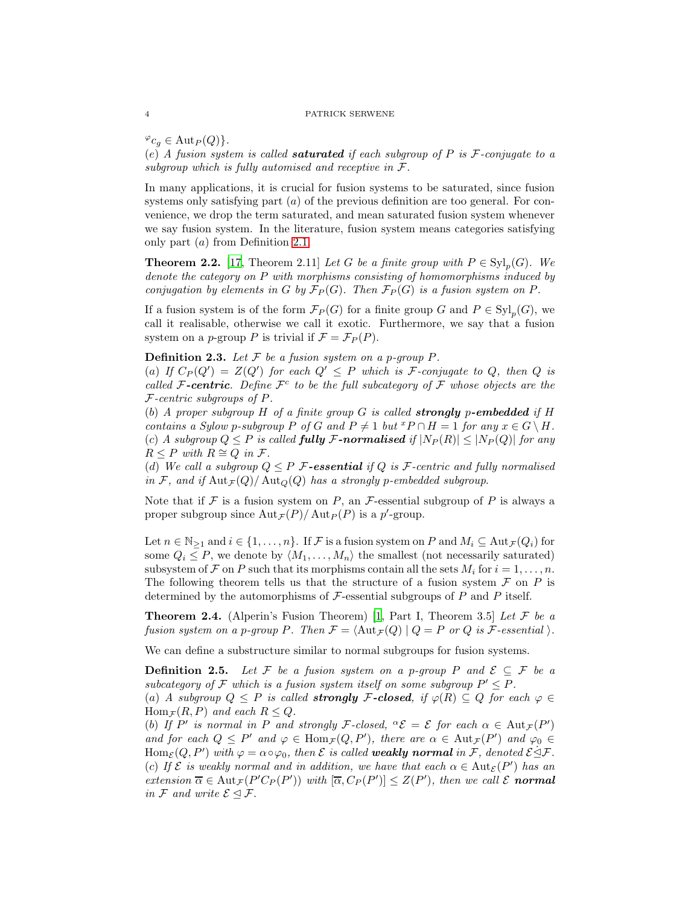$\varphi_{c_q} \in \text{Aut}_P(Q)$ .

(e) *A fusion system is called* saturated *if each subgroup of* P *is* F*-conjugate to a subgroup which is fully automised and receptive in* F*.*

In many applications, it is crucial for fusion systems to be saturated, since fusion systems only satisfying part  $(a)$  of the previous definition are too general. For convenience, we drop the term saturated, and mean saturated fusion system whenever we say fusion system. In the literature, fusion system means categories satisfying only part (a) from Definition [2.1.](#page-2-1)

**Theorem 2.2.** [\[17](#page-19-1), Theorem 2.11] *Let* G *be a finite group with*  $P \in \mathrm{Syl}_p(G)$ *. We denote the category on* P *with morphisms consisting of homomorphisms induced by conjugation by elements in* G *by*  $\mathcal{F}_P(G)$ *. Then*  $\mathcal{F}_P(G)$  *is a fusion system on* P.

If a fusion system is of the form  $\mathcal{F}_P(G)$  for a finite group G and  $P \in Syl_p(G)$ , we call it realisable, otherwise we call it exotic. Furthermore, we say that a fusion system on a p-group P is trivial if  $\mathcal{F} = \mathcal{F}_P(P)$ .

**Definition 2.3.** Let  $F$  be a fusion system on a p-group  $P$ .

(a) If  $C_P(Q') = Z(Q')$  for each  $Q' \leq P$  which is  $\mathcal{F}$ -conjugate to  $Q$ , then  $Q$  is *called* F-centric. Define  $\mathcal{F}^c$  to be the full subcategory of  $\mathcal F$  whose objects are the F*-centric subgroups of* P*.*

(b) *A proper subgroup* H *of a finite group* G *is called* strongly p-embedded *if* H *contains a Sylow p-subgroup* P of G and  $P \neq 1$  *but*  ${}^xP \cap H = 1$  *for any*  $x \in G \setminus H$ *.* (c) *A subgroup*  $Q \leq P$  *is called fully F*-normalised *if*  $|N_P(R)| \leq |N_P(Q)|$  *for any*  $R \leq P$  *with*  $R \cong Q$  *in*  $\mathcal{F}.$ 

(d) We call a subgroup  $Q \leq P$  F-essential if Q is F-centric and fully normalised *in* F, and if  $\text{Aut}_{\mathcal{F}}(Q) / \text{Aut}_{Q}(Q)$  has a strongly p-embedded subgroup.

Note that if  $\mathcal F$  is a fusion system on P, an F-essential subgroup of P is always a proper subgroup since  $\text{Aut}_{\mathcal{F}}(P)/\text{Aut}_{P}(P)$  is a p'-group.

Let  $n \in \mathbb{N}_{\geq 1}$  and  $i \in \{1, \ldots, n\}$ . If F is a fusion system on P and  $M_i \subseteq \text{Aut}_{\mathcal{F}}(Q_i)$  for some  $Q_i \leq P$ , we denote by  $\langle M_1, \ldots, M_n \rangle$  the smallest (not necessarily saturated) subsystem of F on P such that its morphisms contain all the sets  $M_i$  for  $i = 1, \ldots, n$ . The following theorem tells us that the structure of a fusion system  $\mathcal F$  on  $P$  is determined by the automorphisms of  $\mathcal F$ -essential subgroups of  $P$  and  $P$  itself.

<span id="page-3-0"></span>Theorem 2.4. (Alperin's Fusion Theorem) [\[1,](#page-18-1) Part I, Theorem 3.5] *Let* F *be a fusion system on a p-group* P. Then  $\mathcal{F} = \langle \text{Aut}_{\mathcal{F}}(Q) | Q = P$  or Q is F-essential.

We can define a substructure similar to normal subgroups for fusion systems.

**Definition 2.5.** Let F be a fusion system on a p-group P and  $\mathcal{E} \subseteq \mathcal{F}$  be a subcategory of  $\mathcal F$  which is a fusion system itself on some subgroup  $P' \leq P$ .

(a) *A* subgroup  $Q \leq P$  is called **strongly F-closed**, if  $\varphi(R) \subseteq Q$  for each  $\varphi \in$  $\text{Hom}_{\mathcal{F}}(R, P)$  *and each*  $R \leq Q$ *.* 

(b) If P' is normal in P and strongly F-closed,  ${}^{\alpha} {\mathcal{E}} = {\mathcal{E}}$  for each  $\alpha \in Aut_{\mathcal{F}}(P')$ *and for each*  $Q \leq P'$  *and*  $\varphi \in \text{Hom}_{\mathcal{F}}(Q, P')$ *, there are*  $\alpha \in \text{Aut}_{\mathcal{F}}(P')$  *and*  $\varphi_0 \in$  $\text{Hom}_{\mathcal{E}}(Q, P')$  with  $\varphi = \alpha \circ \varphi_0$ , then  $\mathcal E$  is called **weakly normal** in  $\mathcal F$ , denoted  $\mathcal E \leq \mathcal F$ . (c) If  $\mathcal E$  *is weakly normal and in addition, we have that each*  $\alpha \in \text{Aut}_{\mathcal E}(P')$  *has an*  $extension \overline{\alpha} \in Aut_{\mathcal{F}}(P'C_P(P'))$  *with*  $[\overline{\alpha}, C_P(P')] \leq Z(P')$ *, then we call*  $\mathcal E$  **normal** *in*  $\mathcal F$  *and write*  $\mathcal E \subseteq \mathcal F$ .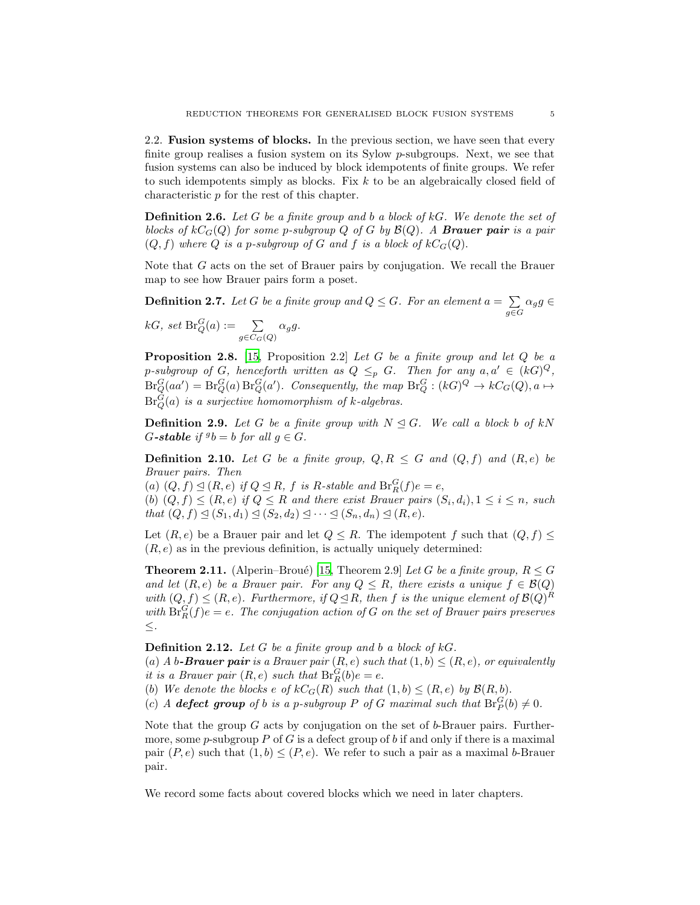2.2. Fusion systems of blocks. In the previous section, we have seen that every finite group realises a fusion system on its Sylow p-subgroups. Next, we see that fusion systems can also be induced by block idempotents of finite groups. We refer to such idempotents simply as blocks. Fix  $k$  to be an algebraically closed field of characteristic p for the rest of this chapter.

Definition 2.6. *Let* G *be a finite group and* b *a block of* kG*. We denote the set of blocks of*  $kC_G(Q)$  *for some p-subgroup*  $Q$  *of*  $G$  *by*  $\mathcal{B}(Q)$ *. A* **Brauer pair** *is a pair*  $(Q, f)$  where Q is a p-subgroup of G and f is a block of  $kC_G(Q)$ .

Note that G acts on the set of Brauer pairs by conjugation. We recall the Brauer map to see how Brauer pairs form a poset.

**Definition 2.7.** Let G be a finite group and  $Q \leq G$ . For an element  $a = \sum$  $\sum_{g \in G} \alpha_g g \in$  $kG$ , set  $\text{Br}_Q^G(a) := \sum_{g \in C_G(Q)} \alpha_g g.$ 

Proposition 2.8. [\[15](#page-18-0), Proposition 2.2] *Let* G *be a finite group and let* Q *be a*  $p\text{-}subgroup$  of  $G$ , henceforth written as  $Q \leq_p G$ . Then for any  $a, a' \in (kG)^Q$ ,  $Br_Q^G(aa') = Br_Q^G(a) Br_Q^G(a')$ . Consequently, the map  $Br_Q^G : (kG)^Q \to kC_G(Q), a \mapsto$ Br<sup>G</sup> <sup>Q</sup>(a) *is a surjective homomorphism of* k*-algebras.*

**Definition 2.9.** Let G be a finite group with  $N \leq G$ . We call a block b of kN  $G$ -stable if  ${}^gb = b$  for all  $g \in G$ *.* 

**Definition 2.10.** Let G be a finite group,  $Q, R \leq G$  and  $(Q, f)$  and  $(R, e)$  be *Brauer pairs. Then*

(a)  $(Q, f) \trianglelefteq (R, e)$  *if*  $Q \trianglelefteq R$ *, f is* R-stable and  $\text{Br}_R^G(f)e = e$ , (b)  $(Q, f) \leq (R, e)$  if  $Q \leq R$  and there exist Brauer pairs  $(S_i, d_i)$ ,  $1 \leq i \leq n$ , such *that*  $(Q, f) \leq (S_1, d_1) \leq (S_2, d_2) \leq \cdots \leq (S_n, d_n) \leq (R, e).$ 

Let  $(R, e)$  be a Brauer pair and let  $Q \leq R$ . The idempotent f such that  $(Q, f) \leq$  $(R, e)$  as in the previous definition, is actually uniquely determined:

**Theorem 2.11.** (Alperin–Broué) [\[15](#page-18-0), Theorem 2.9] *Let* G *be a finite group*,  $R \leq G$ *and let*  $(R, e)$  *be a Brauer pair. For any*  $Q \leq R$ *, there exists a unique*  $f \in B(Q)$ *with*  $(Q, f) \leq (R, e)$ *. Furthermore, if*  $Q \trianglelefteq R$ *, then* f *is the unique element of*  $\mathcal{B}(Q)^R$ with  $\text{Br}_R^G(f)e = e$ . The conjugation action of G on the set of Brauer pairs preserves ≤*.*

Definition 2.12. *Let* G *be a finite group and* b *a block of* kG*.*

(a) *A* b-**Brauer pair** is a Brauer pair  $(R, e)$  such that  $(1, b) \leq (R, e)$ , or equivalently *it is a Brauer pair*  $(R, e)$  *such that*  $\text{Br}_R^G(b)e = e$ .

(b) We denote the blocks  $e$  of  $kC_G(R)$  such that  $(1,b) \leq (R,e)$  by  $\mathcal{B}(R,b)$ .

(c) *A* defect group of *b* is a p-subgroup *P* of *G* maximal such that  $\text{Br}_P^G(b) \neq 0$ .

Note that the group  $G$  acts by conjugation on the set of b-Brauer pairs. Furthermore, some p-subgroup P of G is a defect group of b if and only if there is a maximal pair  $(P, e)$  such that  $(1, b) \leq (P, e)$ . We refer to such a pair as a maximal b-Brauer pair.

We record some facts about covered blocks which we need in later chapters.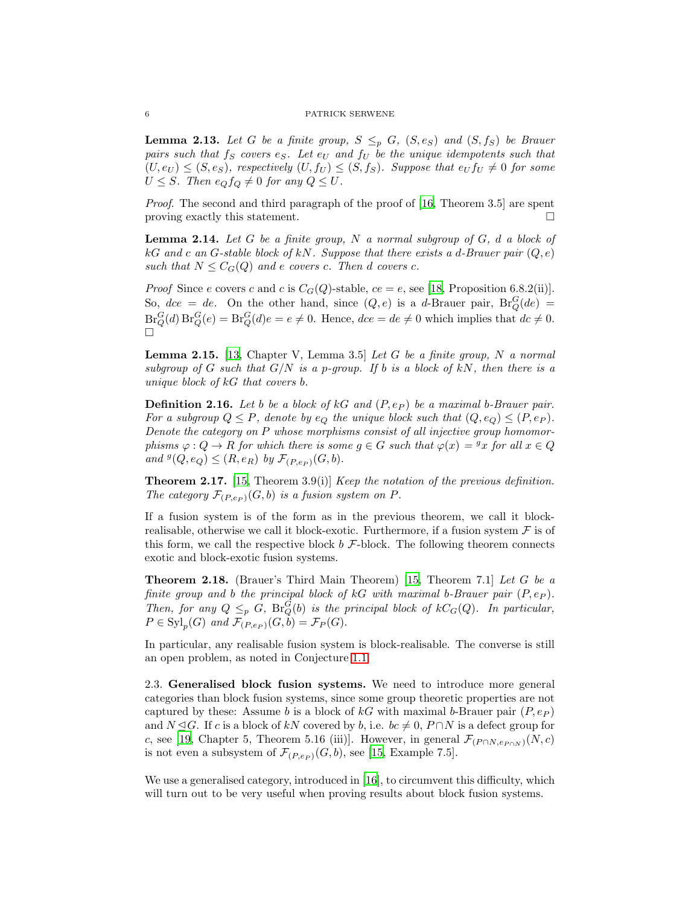<span id="page-5-3"></span>**Lemma 2.13.** Let G be a finite group,  $S \leq_{p} G$ ,  $(S, e_S)$  and  $(S, f_S)$  be Brauer *pairs such that*  $f_S$  *covers*  $e_S$ *. Let*  $e_U$  *and*  $f_U$  *be the unique idempotents such that*  $(U, e_U) \leq (S, e_S)$ , respectively  $(U, f_U) \leq (S, f_S)$ . Suppose that  $e_U f_U \neq 0$  for some  $U \leq S$ *. Then*  $e_Q f_Q \neq 0$  *for any*  $Q \leq U$ *.* 

*Proof*. The second and third paragraph of the proof of [\[16,](#page-18-3) Theorem 3.5] are spent proving exactly this statement.

<span id="page-5-5"></span>Lemma 2.14. *Let* G *be a finite group,* N *a normal subgroup of* G*,* d *a block of* kG *and* c *an* G*-stable block of* kN*. Suppose that there exists a* d*-Brauer pair* (Q, e) *such that*  $N \leq C_G(Q)$  *and e covers c*. *Then d covers c*.

*Proof* Since e covers c and c is  $C_G(Q)$ -stable, ce = e, see [\[18,](#page-19-2) Proposition 6.8.2(ii)]. So,  $dce = de$ . On the other hand, since  $(Q, e)$  is a d-Brauer pair,  $Br_Q^G(de)$  $\operatorname{Br}_Q^G(d)\operatorname{Br}_Q^G(e) = \operatorname{Br}_Q^G(d)e = e \neq 0.$  Hence,  $dce = de \neq 0$  which implies that  $dc \neq 0.$  $\Box$ 

<span id="page-5-4"></span>Lemma 2.15. [\[13](#page-18-7), Chapter V, Lemma 3.5] *Let* G *be a finite group,* N *a normal subgroup of* G *such that*  $G/N$  *is a p-group. If* b *is a block of*  $kN$ *, then there is a unique block of* kG *that covers* b*.*

**Definition 2.16.** Let b be a block of kG and  $(P, e_P)$  be a maximal b-Brauer pair. *For a subgroup*  $Q \leq P$ *, denote by*  $e_Q$  *the unique block such that*  $(Q, e_Q) \leq (P, e_P)$ *. Denote the category on* P *whose morphisms consist of all injective group homomorphisms*  $\varphi$  :  $Q \to R$  *for which there is some*  $g \in G$  *such that*  $\varphi(x) = g x$  *for all*  $x \in Q$ and  $^{g}(Q, e_Q) \leq (R, e_R)$  by  $\mathcal{F}_{(P, e_P)}(G, b)$ .

<span id="page-5-1"></span>Theorem 2.17. [\[15](#page-18-0), Theorem 3.9(i)] *Keep the notation of the previous definition.* The category  $\mathcal{F}_{(P,e_P)}(G, b)$  *is a fusion system on* P.

If a fusion system is of the form as in the previous theorem, we call it blockrealisable, otherwise we call it block-exotic. Furthermore, if a fusion system  $\mathcal F$  is of this form, we call the respective block  $b \mathcal{F}\text{-block}$ . The following theorem connects exotic and block-exotic fusion systems.

<span id="page-5-2"></span>Theorem 2.18. (Brauer's Third Main Theorem) [\[15](#page-18-0), Theorem 7.1] *Let* G *be a finite group and b the principal block of kG with maximal b-Brauer pair*  $(P, e_P)$ *. Then, for any*  $Q \leq_p G$ ,  $Br_Q^G(b)$  *is the principal block of*  $kC_G(Q)$ *. In particular,*  $P \in \mathrm{Syl}_p(G)$  and  $\mathcal{F}_{(P,e_P)}(G,b) = \mathcal{F}_P(G)$ .

In particular, any realisable fusion system is block-realisable. The converse is still an open problem, as noted in Conjecture [1.1.](#page-0-0)

<span id="page-5-0"></span>2.3. Generalised block fusion systems. We need to introduce more general categories than block fusion systems, since some group theoretic properties are not captured by these: Assume b is a block of kG with maximal b-Brauer pair  $(P, e_P)$ and  $N \trianglelefteq G$ . If c is a block of kN covered by b, i.e.  $bc \neq 0$ ,  $P \cap N$  is a defect group for c, see [\[19,](#page-19-3) Chapter 5, Theorem 5.16 (iii)]. However, in general  $\mathcal{F}_{(P \cap N, e_{P \cap N})}(N, c)$ is not even a subsystem of  $\mathcal{F}_{(P,e_P)}(G, b)$ , see [\[15](#page-18-0), Example 7.5].

We use a generalised category, introduced in [\[16\]](#page-18-3), to circumvent this difficulty, which will turn out to be very useful when proving results about block fusion systems.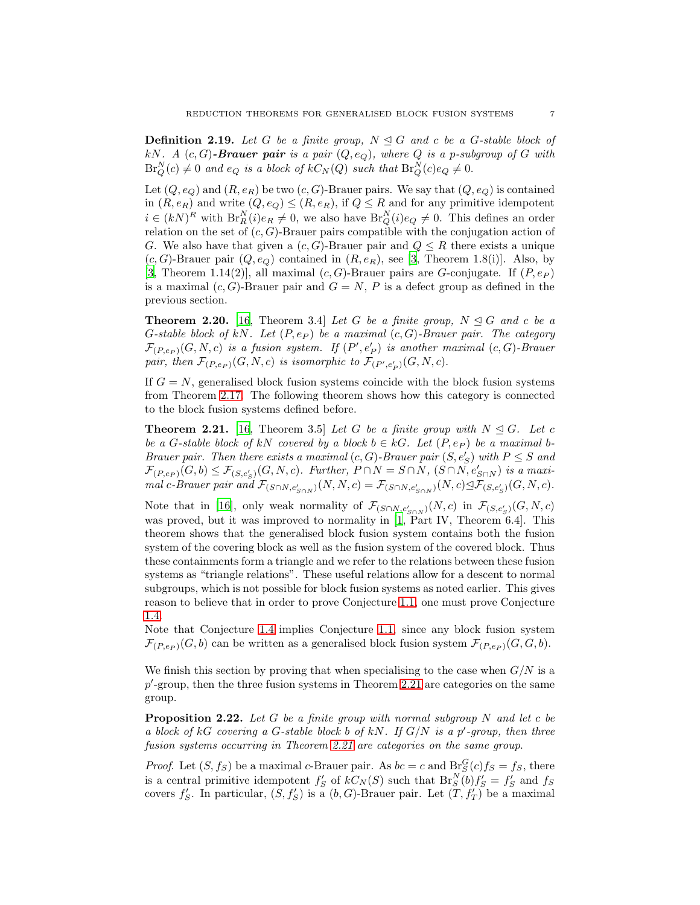**Definition 2.19.** Let G be a finite group,  $N \leq G$  and c be a G-stable block of kN. A  $(c, G)$ -Brauer pair is a pair  $(Q, e_Q)$ , where  $Q$  is a p-subgroup of  $G$  with  $\operatorname{Br}_Q^N(c) \neq 0$  and  $e_Q$  is a block of  $kC_N(Q)$  such that  $\operatorname{Br}_Q^N(c)e_Q \neq 0$ .

Let  $(Q, e_Q)$  and  $(R, e_R)$  be two  $(c, G)$ -Brauer pairs. We say that  $(Q, e_Q)$  is contained in  $(R, e_R)$  and write  $(Q, e_Q) \leq (R, e_R)$ , if  $Q \leq R$  and for any primitive idempotent  $i \in (k)R^N$  with  $\text{Br}_R^N(i)e_R \neq 0$ , we also have  $\text{Br}_Q^N(i)e_Q \neq 0$ . This defines an order relation on the set of  $(c, G)$ -Brauer pairs compatible with the conjugation action of G. We also have that given a  $(c, G)$ -Brauer pair and  $Q \leq R$  there exists a unique  $(c, G)$ -Brauer pair  $(Q, e_Q)$  contained in  $(R, e_R)$ , see [\[3,](#page-18-8) Theorem 1.8(i)]. Also, by [\[3,](#page-18-8) Theorem 1.14(2)], all maximal  $(c, G)$ -Brauer pairs are G-conjugate. If  $(P, e_P)$ is a maximal  $(c, G)$ -Brauer pair and  $G = N$ , P is a defect group as defined in the previous section.

**Theorem 2.20.** [\[16,](#page-18-3) Theorem 3.4] *Let* G *be a finite group,*  $N \leq G$  *and* c *be a* G*-stable block of* kN*. Let* (P, e<sup>P</sup> ) *be a maximal* (c, G)*-Brauer pair. The category*  $\mathcal{F}_{(P,e_P)}(G, N, c)$  *is a fusion system. If*  $(P', e'_P)$  *is another maximal*  $(c, G)$ -Brauer pair, then  $\mathcal{F}_{(P,e_P)}(G,N,c)$  is isomorphic to  $\mathcal{F}_{(P',e'_P)}(G,N,c)$ .

If  $G = N$ , generalised block fusion systems coincide with the block fusion systems from Theorem [2.17.](#page-5-1) The following theorem shows how this category is connected to the block fusion systems defined before.

<span id="page-6-0"></span>**Theorem 2.21.** [\[16,](#page-18-3) Theorem 3.5] Let G be a finite group with  $N \leq G$ . Let c *be a* G-stable block of kN covered by a block  $b \in kG$ . Let  $(P, e_P)$  be a maximal b-*Brauer pair. Then there exists a maximal*  $(c, G)$ -*Brauer pair*  $(S, e'_{S})$  *with*  $P \leq S$  *and*  $\mathcal{F}_{(P,e_P)}(G,b) \leq \mathcal{F}_{(S,e_S')}(G,N,c)$ . Further,  $P \cap N = S \cap N$ ,  $(S \cap N,e_{S \cap N}')$  is a maxi*mal* c-Brauer pair and  $\mathcal{F}_{(S \cap N, e'_{S \cap N})}(N, N, c) = \mathcal{F}_{(S \cap N, e'_{S \cap N})}(N, c) \trianglelefteq \mathcal{F}_{(S, e'_{S})}(G, N, c)$ .

Note that in [\[16](#page-18-3)], only weak normality of  $\mathcal{F}_{(S \cap N, e'_{S \cap N})}(N, c)$  in  $\mathcal{F}_{(S, e'_{S})}(G, N, c)$ was proved, but it was improved to normality in [\[1](#page-18-1), Part IV, Theorem 6.4]. This theorem shows that the generalised block fusion system contains both the fusion system of the covering block as well as the fusion system of the covered block. Thus these containments form a triangle and we refer to the relations between these fusion systems as "triangle relations". These useful relations allow for a descent to normal subgroups, which is not possible for block fusion systems as noted earlier. This gives reason to believe that in order to prove Conjecture [1.1,](#page-0-0) one must prove Conjecture [1.4.](#page-1-0)

Note that Conjecture [1.4](#page-1-0) implies Conjecture [1.1,](#page-0-0) since any block fusion system  $\mathcal{F}_{(P,e_P)}(G, b)$  can be written as a generalised block fusion system  $\mathcal{F}_{(P,e_P)}(G, G, b)$ .

We finish this section by proving that when specialising to the case when  $G/N$  is a p'-group, then the three fusion systems in Theorem [2.21](#page-6-0) are categories on the same group.

Proposition 2.22. *Let* G *be a finite group with normal subgroup* N *and let* c *be a block of* kG *covering a* G*-stable block* b *of* kN*. If* G/N *is a* p ′ *-group, then three fusion systems occurring in Theorem [2.21](#page-6-0) are categories on the same group*.

*Proof.* Let  $(S, f_S)$  be a maximal c-Brauer pair. As  $bc = c$  and  $B_r^G(c) f_S = f_S$ , there is a central primitive idempotent  $f'_S$  of  $kC_N(S)$  such that  $Br_S^N(b)f'_S = f'_S$  and  $f_S$ covers  $f'_{S}$ . In particular,  $(S, f'_{S})$  is a  $(b, G)$ -Brauer pair. Let  $(T, f'_{T})$  be a maximal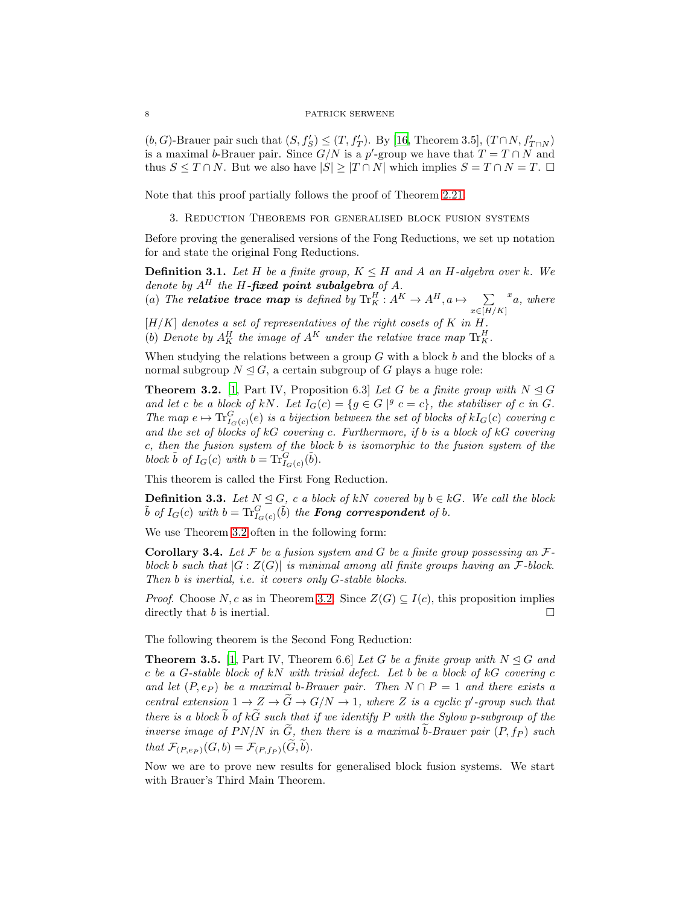(b, G)-Brauer pair such that  $(S, f'_{S}) \leq (T, f'_{T})$ . By [\[16,](#page-18-3) Theorem 3.5],  $(T \cap N, f'_{T \cap N})$ is a maximal *b*-Brauer pair. Since  $G/N$  is a p'-group we have that  $T = T \cap N$  and thus  $S \leq T \cap N$ . But we also have  $|S| \geq |T \cap N|$  which implies  $S = T \cap N = T$ .  $\Box$ 

<span id="page-7-0"></span>Note that this proof partially follows the proof of Theorem [2.21.](#page-6-0)

3. Reduction Theorems for generalised block fusion systems

Before proving the generalised versions of the Fong Reductions, we set up notation for and state the original Fong Reductions.

**Definition 3.1.** Let H be a finite group,  $K \leq H$  and A an H-algebra over k. We *denote by*  $A^H$  *the* H-fixed point subalgebra of A.

(a) The **relative trace map** is defined by  $\operatorname{Tr}^H_K : A^K \to A^H, a \mapsto \sum$  $x\in$ [H/K] x a*, where*

 $[H/K]$  *denotes a set of representatives of the right cosets of*  $K$  *in*  $H$ *.* (b) Denote by  $A_K^H$  the image of  $A^K$  under the relative trace map  $\text{Tr}_K^H$ .

When studying the relations between a group  $G$  with a block  $b$  and the blocks of a normal subgroup  $N \leq G$ , a certain subgroup of G plays a huge role:

<span id="page-7-1"></span>**Theorem 3.2.** [\[1,](#page-18-1) Part IV, Proposition 6.3] *Let* G *be a finite group with*  $N \trianglelefteq G$ and let c be a block of kN. Let  $I_G(c) = \{g \in G \mid g \in G\}$ , the stabiliser of c in G. The map  $e \mapsto \text{Tr}_{I_G(c)}^G(e)$  *is a bijection between the set of blocks of*  $kI_G(c)$  *covering* c *and the set of blocks of* kG *covering* c*. Furthermore, if* b *is a block of* kG *covering* c*, then the fusion system of the block* b *is isomorphic to the fusion system of the* block  $\tilde{b}$  of  $I_G(c)$  with  $b = \text{Tr}_{I_G(c)}^G(\tilde{b})$ .

This theorem is called the First Fong Reduction.

**Definition 3.3.** *Let*  $N \trianglelefteq G$ *, c a block of kN covered by*  $b \in kG$ *. We call the block*  $\tilde{b}$  of  $I_G(c)$  with  $b = \text{Tr}_{I_G(c)}^G(\tilde{b})$  the **Fong correspondent** of b.

We use Theorem [3.2](#page-7-1) often in the following form:

Corollary 3.4. *Let* F *be a fusion system and* G *be a finite group possessing an* F*block* b *such that* |G : Z(G)| *is minimal among all finite groups having an* F*-block. Then* b *is inertial, i.e. it covers only* G*-stable blocks*.

*Proof.* Choose N, c as in Theorem [3.2.](#page-7-1) Since  $Z(G) \subseteq I(c)$ , this proposition implies directly that b is inertial.

The following theorem is the Second Fong Reduction:

**Theorem 3.5.** [\[1,](#page-18-1) Part IV, Theorem 6.6] Let G be a finite group with  $N \trianglelefteq G$  and c *be a* G*-stable block of* kN *with trivial defect. Let* b *be a block of* kG *covering* c *and let*  $(P, e_P)$  *be a maximal b-Brauer pair. Then*  $N \cap P = 1$  *and there exists a central extension*  $1 \rightarrow Z \rightarrow \tilde{G} \rightarrow G/N \rightarrow 1$ , where Z is a cyclic p'-group such that *there is a block*  $\widetilde{b}$  *of*  $k\widetilde{G}$  *such that if we identify* P *with the Sylow* p-*subgroup of the inverse image of*  $PN/N$  *in*  $\widetilde{G}$ *, then there is a maximal*  $\widetilde{b}$ -Brauer pair  $(P, f_P)$  such *that*  $\mathcal{F}_{(P,e_P)}(G, b) = \mathcal{F}_{(P, f_P)}(G, b).$ 

Now we are to prove new results for generalised block fusion systems. We start with Brauer's Third Main Theorem.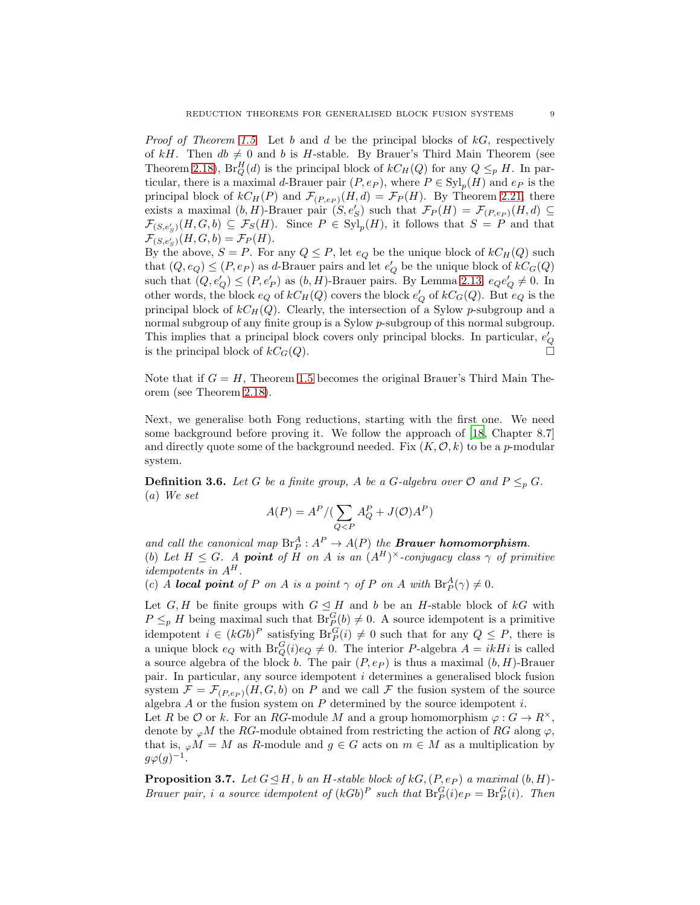*Proof of Theorem [1.5](#page-1-1)*. Let b and d be the principal blocks of kG, respectively of kH. Then  $db \neq 0$  and b is H-stable. By Brauer's Third Main Theorem (see Theorem [2.18\)](#page-5-2),  $Br_Q^H(d)$  is the principal block of  $kC_H(Q)$  for any  $Q \leq_p H$ . In particular, there is a maximal d-Brauer pair  $(P, e_P)$ , where  $P \in \mathrm{Syl}_p(H)$  and  $e_P$  is the principal block of  $kC_H(P)$  and  $\mathcal{F}_{(P,e_P)}(H, d) = \mathcal{F}_P(H)$ . By Theorem [2.21,](#page-6-0) there exists a maximal  $(b, H)$ -Brauer pair  $(S, e'_{S})$  such that  $\mathcal{F}_{P}(H) = \mathcal{F}_{(P, e_{P})}(H, d) \subseteq$  $\mathcal{F}_{(S,e'_{S})}(H,G,b) \subseteq \mathcal{F}_{S}(H)$ . Since  $P \in \text{Syl}_{p}(H)$ , it follows that  $S = P$  and that  $\mathcal{F}_{(S,e'_S)}(H,G,b)=\mathcal{F}_P(H).$ 

By the above,  $S = P$ . For any  $Q \leq P$ , let  $e_Q$  be the unique block of  $kC_H(Q)$  such that  $(Q, e_Q) \leq (P, e_P)$  as d-Brauer pairs and let  $e'_Q$  be the unique block of  $kC_G(Q)$ such that  $(Q, e'_{Q}) \leq (P, e'_{P})$  as  $(b, H)$ -Brauer pairs. By Lemma [2.13,](#page-5-3)  $e_{Q}e'_{Q} \neq 0$ . In other words, the block  $e_Q$  of  $kC_H(Q)$  covers the block  $e_Q'$  of  $kC_G(Q)$ . But  $e_Q$  is the principal block of  $kC_H(Q)$ . Clearly, the intersection of a Sylow p-subgroup and a normal subgroup of any finite group is a Sylow p-subgroup of this normal subgroup. This implies that a principal block covers only principal blocks. In particular,  $e^\prime_Q$ is the principal block of  $kC_G(Q)$ .

Note that if  $G = H$ , Theorem [1.5](#page-1-1) becomes the original Brauer's Third Main Theorem (see Theorem [2.18\)](#page-5-2).

Next, we generalise both Fong reductions, starting with the first one. We need some background before proving it. We follow the approach of [\[18](#page-19-2), Chapter 8.7] and directly quote some of the background needed. Fix  $(K, \mathcal{O}, k)$  to be a p-modular system.

**Definition 3.6.** *Let* G *be a finite group,* A *be a G-algebra over*  $\mathcal{O}$  *and*  $P \leq_p G$ *.* (a) *We set*

$$
A(P) = AP / (\sum_{Q
$$

and call the canonical map  $\text{Br}_P^A: A^P \to A(P)$  the **Brauer homomorphism**. (b) Let  $H \leq G$ . A **point** of H on A is an  $(A^H)^{\times}$ -conjugacy class  $\gamma$  of primitive  $idempotents$  in  ${\cal A}^H.$ 

(c) *A* local point of *P* on *A* is a point  $\gamma$  of *P* on *A* with  $\text{Br}_P^A(\gamma) \neq 0$ .

Let G, H be finite groups with  $G \trianglelefteq H$  and b be an H-stable block of kG with  $P \leq_{p} H$  being maximal such that  $\text{Br}_{P}^{G}(b) \neq 0$ . A source idempotent is a primitive idempotent  $i \in (kGb)^P$  satisfying  $Br_P^G(i) \neq 0$  such that for any  $Q \leq P$ , there is a unique block  $e_Q$  with  $\text{Br}_Q^G(i)e_Q \neq 0$ . The interior P-algebra  $A = ikHi$  is called a source algebra of the block b. The pair  $(P, e_P)$  is thus a maximal  $(b, H)$ -Brauer pair. In particular, any source idempotent i determines a generalised block fusion system  $\mathcal{F} = \mathcal{F}_{(P,e_P)}(H, G, b)$  on P and we call F the fusion system of the source algebra  $A$  or the fusion system on  $P$  determined by the source idempotent  $i$ .

Let R be O or k. For an RG-module M and a group homomorphism  $\varphi: G \to R^{\times}$ , denote by  $_{\varphi}M$  the RG-module obtained from restricting the action of RG along  $\varphi$ , that is,  $_{\varphi}M = M$  as R-module and  $g \in G$  acts on  $m \in M$  as a multiplication by  $g\varphi(g)^{-1}.$ 

<span id="page-8-0"></span>**Proposition 3.7.** *Let*  $G \trianglelefteq H$ *, b an*  $H$ *-stable block of*  $kG$ *,*( $P$ *, e<sub>P</sub>*) *a maximal* (*b, H*)*-Brauer pair, i a source idempotent of*  $(kGb)^P$  *such that*  $Br_P^G(i)e_P = Br_P^G(i)$ *. Then*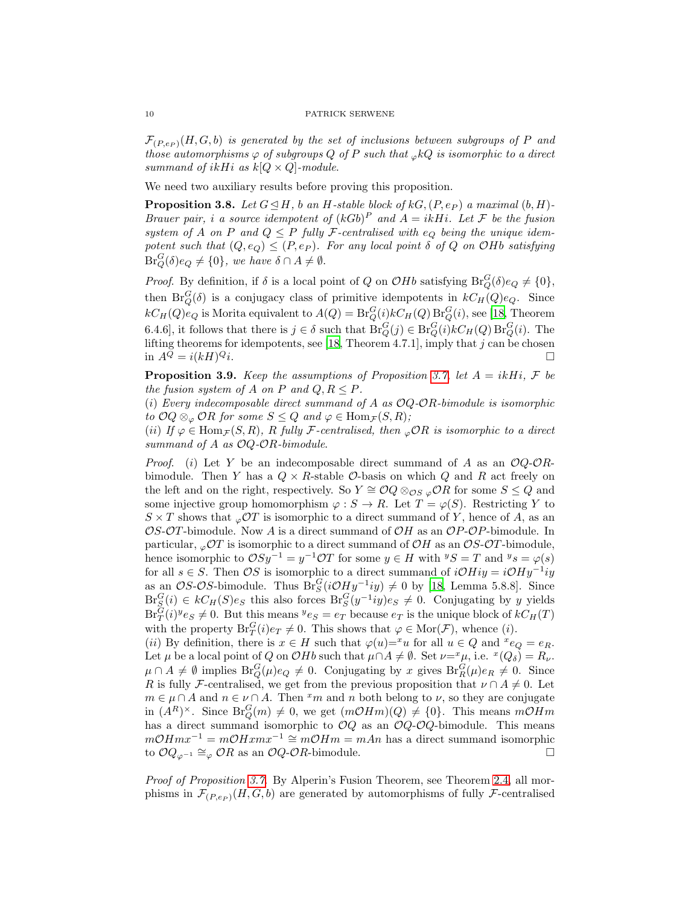$\mathcal{F}_{(P,ep)}(H, G, b)$  *is generated by the set of inclusions between subgroups of* P *and those automorphisms*  $\varphi$  *of subgroups*  $Q$  *of*  $P$  *such that*  $_{\varphi}kQ$  *is isomorphic to a direct summand of ikHi as k*[ $Q \times Q$ *]-module.* 

We need two auxiliary results before proving this proposition.

**Proposition 3.8.** Let  $G \trianglelefteq H$ , b an H-stable block of kG,  $(P, e_P)$  a maximal  $(b, H)$ -*Brauer pair, i a source idempotent of*  $(kGb)^P$  *and*  $A = ikHi$ *. Let*  $\mathcal F$  *be the fusion system of* A *on* P and  $Q \leq P$  fully F-centralised with  $e_Q$  being the unique idem*potent such that*  $(Q, e_Q) \leq (P, e_P)$ *. For any local point*  $\delta$  *of*  $Q$  *on*  $O$ *Hb satisfying*  $\text{Br}_Q^G(\delta)e_Q \neq \{0\}$ , we have  $\delta \cap A \neq \emptyset$ .

*Proof.* By definition, if  $\delta$  is a local point of Q on  $O H b$  satisfying  $Br_Q^G(\delta) e_Q \neq \{0\},$ then  $Br_Q^G(\delta)$  is a conjugacy class of primitive idempotents in  $kC_H(Q)e_Q$ . Since  $kC_H(Q)e_Q$  is Morita equivalent to  $A(Q) = Br_Q^G(i)kC_H(Q)Br_Q^G(i)$ , see [\[18](#page-19-2), Theorem 6.4.6], it follows that there is  $j \in \delta$  such that  $Br_Q^G(j) \in Br_Q^G(i)kC_H(Q)Br_Q^G(i)$ . The lifting theorems for idempotents, see [\[18](#page-19-2), Theorem 4.7.1], imply that j can be chosen in  $A^Q = i(kH)^Q i$ .  $Q_i$ .

**Proposition 3.9.** *Keep the assumptions of Proposition [3.7,](#page-8-0) let*  $A = ikHi$ *,*  $F$  *be the fusion system of* A *on* P *and*  $Q, R \leq P$ *.* 

(i) *Every indecomposable direct summand of* A *as* OQ*-*OR*-bimodule is isomorphic to*  $OQ \otimes_{\varphi} OR$  *for some*  $S \leq Q$  *and*  $\varphi \in \text{Hom}_{\mathcal{F}}(S, R)$ *;* 

(ii) If  $\varphi \in \text{Hom}_{\mathcal{F}}(S, R)$ , R fully F-centralised, then  $\varphi \mathcal{O}R$  is isomorphic to a direct *summand of* A *as* OQ*-*OR*-bimodule*.

*Proof.* (i) Let Y be an indecomposable direct summand of A as an  $OQ$ - $OR$ bimodule. Then Y has a  $Q \times R$ -stable  $\mathcal{O}$ -basis on which  $Q$  and  $R$  act freely on the left and on the right, respectively. So  $Y \cong \mathcal{O}Q \otimes_{\mathcal{OS}} \mathcal{O}R$  for some  $S \leq Q$  and some injective group homomorphism  $\varphi : S \to R$ . Let  $T = \varphi(S)$ . Restricting Y to  $S \times T$  shows that  $\mathcal{O}T$  is isomorphic to a direct summand of Y, hence of A, as an OS-OT-bimodule. Now A is a direct summand of  $OH$  as an OP-OP-bimodule. In particular,  $\mathcal{O}T$  is isomorphic to a direct summand of  $\mathcal{O}H$  as an  $\mathcal{OS}\text{-}\mathcal{O}T$ -bimodule, hence isomorphic to  $OSy^{-1} = y^{-1}OT$  for some  $y \in H$  with  $^yS = T$  and  $^yS = \varphi(s)$ for all  $s \in S$ . Then  $OS$  is isomorphic to a direct summand of  $iOHiy = iOHy^{-1}iy$ as an OS-OS-bimodule. Thus  $Br_S^G(iOHy^{-1}iy) \neq 0$  by [\[18](#page-19-2), Lemma 5.8.8]. Since  $\text{Br}_S^G(i) \in kC_H(S)e_S$  this also forces  $\text{Br}_S^G(y^{-1}iy)e_S \neq 0$ . Conjugating by y yields  $Br_T^G(i)^y e_S \neq 0$ . But this means  $e_S = e_T$  because  $e_T$  is the unique block of  $kC_H(T)$ with the property  $\text{Br}_T^G(i)e_T \neq 0$ . This shows that  $\varphi \in \text{Mor}(\mathcal{F})$ , whence (*i*).

(*ii*) By definition, there is  $x \in H$  such that  $\varphi(u)=x^u$  for all  $u \in Q$  and  $^xe_Q = e_R$ . Let  $\mu$  be a local point of Q on OHb such that  $\mu \cap A \neq \emptyset$ . Set  $\nu = \nu^* \mu$ , i.e.  $\nu^* (Q_\delta) = R_\nu$ .  $\mu \cap A \neq \emptyset$  implies  $\text{Br}_Q^G(\mu)e_Q \neq 0$ . Conjugating by x gives  $\text{Br}_R^G(\mu)e_R \neq 0$ . Since R is fully F-centralised, we get from the previous proposition that  $\nu \cap A \neq 0$ . Let  $m \in \mu \cap A$  and  $n \in \nu \cap A$ . Then  $x_m$  and n both belong to  $\nu$ , so they are conjugate in  $(A^R)^{\times}$ . Since  $Br_Q^G(m) \neq 0$ , we get  $(m\mathcal{O}Hm)(Q) \neq \{0\}$ . This means  $m\mathcal{O}Hm$ has a direct summand isomorphic to  $OQ$  as an  $OQ-OQ$ -bimodule. This means  $mOHmx^{-1} = mOHxm^{-1} \cong mOHm = mAn$  has a direct summand isomorphic to  $OQ_{\varphi^{-1}} \cong_{\varphi} OR$  as an  $OQ$ - $OR$ -bimodule.  $□$ 

*Proof of Proposition [3.7](#page-8-0)*. By Alperin's Fusion Theorem, see Theorem [2.4,](#page-3-0) all morphisms in  $\mathcal{F}_{(P,e_P)}(H, G, b)$  are generated by automorphisms of fully F-centralised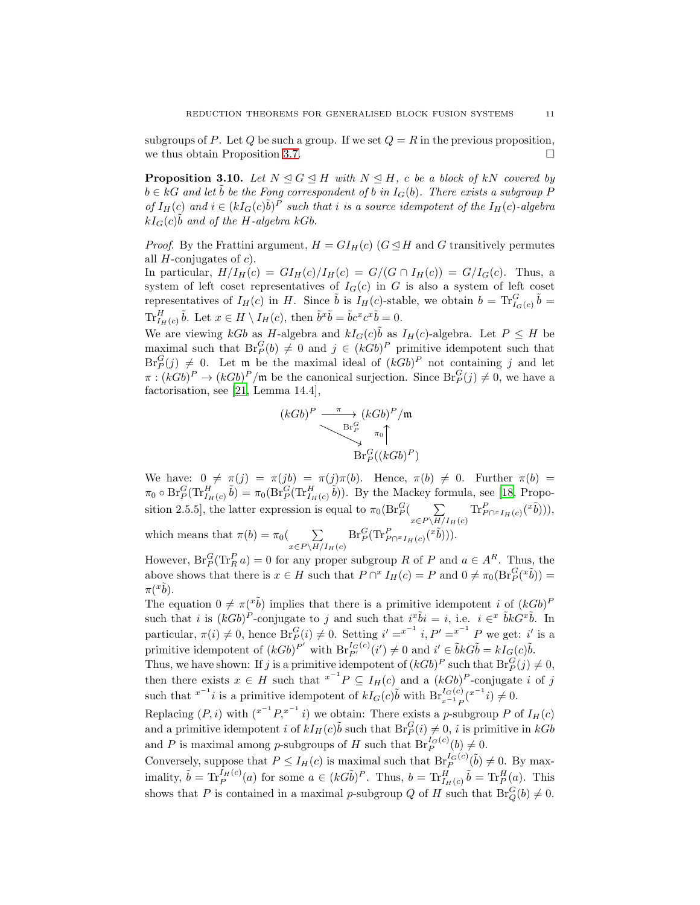subgroups of P. Let Q be such a group. If we set  $Q = R$  in the previous proposition, we thus obtain Proposition [3.7.](#page-8-0)

<span id="page-10-0"></span>**Proposition 3.10.** Let  $N \triangleleft G \triangleleft H$  with  $N \triangleleft H$ , c be a block of kN covered by  $b \in kG$  and let  $\tilde{b}$  be the Fong correspondent of b in  $I_G(b)$ . There exists a subgroup P *of*  $I_H(c)$  and  $i \in (kI_G(c)\tilde{b})^P$  *such that i is a source idempotent of the*  $I_H(c)$ *-algebra*  $kI_G(c)\tilde{b}$  and of the H-algebra kGb.

*Proof.* By the Frattini argument,  $H = GI_H(c)$  ( $G \trianglelefteq H$  and G transitively permutes all  $H$ -conjugates of  $c$ ).

In particular,  $H/I_H(c) = GI_H(c)/I_H(c) = G/(G \cap I_H(c)) = G/I_G(c)$ . Thus, a system of left coset representatives of  $I_G(c)$  in G is also a system of left coset representatives of  $I_H(c)$  in H. Since  $\tilde{b}$  is  $I_H(c)$ -stable, we obtain  $b = \text{Tr}_{I_G(c)}^G \tilde{b} =$  $\text{Tr}_{I_H(c)}^H \tilde{b}$ . Let  $x \in H \setminus I_H(c)$ , then  $\tilde{b}^x \tilde{b} = \tilde{b}c^x c^x \tilde{b} = 0$ .

We are viewing  $kGb$  as H-algebra and  $kI_G(c)\tilde{b}$  as  $I_H(c)$ -algebra. Let  $P \leq H$  be maximal such that  $\text{Br}_P^G(b) \neq 0$  and  $j \in (kGb)^P$  primitive idempotent such that  $Br_P^G(j) \neq 0$ . Let m be the maximal ideal of  $(kGb)^P$  not containing j and let  $\pi : (kGb)^P \to (kGb)^P/\mathfrak{m}$  be the canonical surjection. Since  $\text{Br}_P^G(j) \neq 0$ , we have a factorisation, see [\[21,](#page-19-4) Lemma 14.4],

$$
(kGb)^P \xrightarrow{\pi} (kGb)^P / \mathfrak{m}
$$
  

$$
\longrightarrow
$$
  

$$
\text{Br}_P^G \longrightarrow \pi_0 \uparrow
$$
  

$$
\text{Br}_P^G((kGb)^P)
$$

We have:  $0 \neq \pi(j) = \pi(jb) = \pi(j)\pi(b)$ . Hence,  $\pi(b) \neq 0$ . Further  $\pi(b) =$  $\pi_0 \circ \text{Br}_P^G(\text{Tr}_{I_H(c)}^H \tilde{b}) = \pi_0(\text{Br}_P^G(\text{Tr}_{I_H(c)}^H \tilde{b}))$ . By the Mackey formula, see [\[18](#page-19-2), Proposition 2.5.5], the latter expression is equal to  $\pi_0(\text{Br}_P^G($   $\sum$  $x\in P\backslash H/I_H(c)$  $\text{Tr}_{P\cap {^xI_H}(c)}^P({^x\tilde{b}}))),$ which means that  $\pi(b) = \pi_0$  (  $\sum$  $\mathrm{Br}_P^G(\mathrm{Tr}^P_{P \cap {^xI_H}(c)}({^x\tilde{b}}))).$ 

However,  $\text{Br}_P^G(\text{Tr}_R^P a) = 0$  for any proper subgroup R of P and  $a \in A^R$ . Thus, the above shows that there is  $x \in H$  such that  $P \cap^x I_H(c) = P$  and  $0 \neq \pi_0(\text{Br}_P^G(\tilde{b})) =$  $\pi({}^x\tilde{b}).$ 

 $x\in P\backslash H/I_H(c)$ 

The equation  $0 \neq \pi(\tilde{b})$  implies that there is a primitive idempotent i of  $(kGb)^P$ such that *i* is  $(kGb)^P$ -conjugate to *j* and such that  $i^x \tilde{b}i = i$ , i.e.  $i \in \tilde{k}$   $\tilde{b}kG^x \tilde{b}$ . In particular,  $\pi(i) \neq 0$ , hence  $\text{Br}_P^G(i) \neq 0$ . Setting  $i' = x^{-1}$  i,  $P' = x^{-1}$  P we get: i' is a primitive idempotent of  $(kGb)^{P'}$  with  $Br_{P'}^{I_G(c)}(i') \neq 0$  and  $i' \in \tilde{b}kG\tilde{b} = kI_G(c)\tilde{b}$ .

Thus, we have shown: If j is a primitive idempotent of  $(kGb)^P$  such that  $Br_P^G(j) \neq 0$ , then there exists  $x \in H$  such that  $x^{-1}P \subseteq I_H(c)$  and a  $(kGb)^P$ -conjugate i of j such that  $x^{-1}i$  is a primitive idempotent of  $kI_G(c)\tilde{b}$  with  $Br_{x^{-1}P}^{I_G(c)}(x^{-1}i) \neq 0$ .

Replacing  $(P, i)$  with  $(x^{-1}P, x^{-1}i)$  we obtain: There exists a p-subgroup P of  $I_H(c)$ and a primitive idempotent *i* of  $kI_H(c)\tilde{b}$  such that  $BF_P^G(i) \neq 0$ , *i* is primitive in  $kGb$ and P is maximal among p-subgroups of H such that  $\text{Br}_P^{I_G(c)}(b) \neq 0$ .

Conversely, suppose that  $P \le I_H(c)$  is maximal such that  $Br_P^{I_G(c)}(\tilde{b}) \neq 0$ . By maximality,  $\tilde{b} = \text{Tr}_{P}^{I_{H}(c)}(a)$  for some  $a \in (kG\tilde{b})^{P}$ . Thus,  $b = \text{Tr}_{I_{H}(c)}^{H}\tilde{b} = \text{Tr}_{P}^{H}(a)$ . This shows that P is contained in a maximal p-subgroup Q of H such that  $\text{Br}_Q^G(b) \neq 0$ .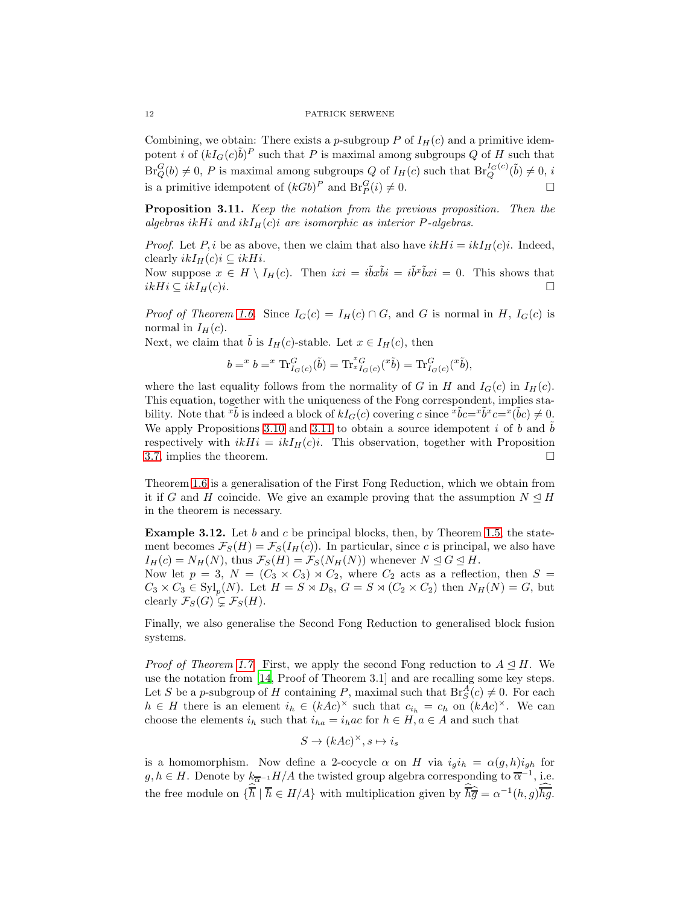Combining, we obtain: There exists a p-subgroup P of  $I_H(c)$  and a primitive idempotent *i* of  $(kI_G(c)\tilde{b})^P$  such that P is maximal among subgroups Q of H such that  $Br_Q^G(b) \neq 0, P$  is maximal among subgroups Q of  $I_H(c)$  such that  $Br_Q^{I_G(c)}(\tilde{b}) \neq 0, i$ is a primitive idempotent of  $(kGb)^P$  and  $Br_P^G(i) \neq 0$ .

<span id="page-11-0"></span>Proposition 3.11. *Keep the notation from the previous proposition. Then the algebras* ikHi and  $ikI_H(c)i$  are isomorphic as interior P-algebras.

*Proof.* Let P, i be as above, then we claim that also have  $ikHi = ikI<sub>H</sub>(c)i$ . Indeed, clearly  $ikI_H(c)i \subseteq ikHi$ .

Now suppose  $x \in H \setminus I_H(c)$ . Then  $ixi = i\tilde{b}x\tilde{b}i = i\tilde{b}^x\tilde{b}xi = 0$ . This shows that  $i kHi \subseteq ikI_H(c)i.$ 

*Proof of Theorem [1.6](#page-1-2).* Since  $I_G(c) = I_H(c) \cap G$ , and G is normal in H,  $I_G(c)$  is normal in  $I_H(c)$ .

Next, we claim that  $\tilde{b}$  is  $I_H(c)$ -stable. Let  $x \in I_H(c)$ , then

$$
b=^xb={^x\operatorname{Tr}^G_{I_G(c)}(\tilde{b})=\operatorname{Tr}^x_{^xI_G(c)}(^{x}\tilde{b})=\operatorname{Tr}^G_{I_G(c)}(^{x}\tilde{b}),
$$

where the last equality follows from the normality of G in H and  $I_G(c)$  in  $I_H(c)$ . This equation, together with the uniqueness of the Fong correspondent, implies stability. Note that  $\tilde{b}$  is indeed a block of  $kI_G(c)$  covering c since  $\tilde{b}c = \tilde{b}c = \tilde{b}c - \tilde{b}c = \tilde{b}c$ . We apply Propositions [3.10](#page-10-0) and [3.11](#page-11-0) to obtain a source idempotent i of b and  $\overline{b}$ respectively with  $ikHi = ikI<sub>H</sub>(c)i$ . This observation, together with Proposition [3.7,](#page-8-0) implies the theorem.  $\Box$ 

Theorem [1.6](#page-1-2) is a generalisation of the First Fong Reduction, which we obtain from it if G and H coincide. We give an example proving that the assumption  $N \trianglelefteq H$ in the theorem is necessary.

**Example 3.12.** Let b and c be principal blocks, then, by Theorem [1.5,](#page-1-1) the statement becomes  $\mathcal{F}_S(H) = \mathcal{F}_S(I_H(c))$ . In particular, since c is principal, we also have  $I_H(c) = N_H(N)$ , thus  $\mathcal{F}_S(H) = \mathcal{F}_S(N_H(N))$  whenever  $N \leq G \leq H$ .

Now let  $p = 3$ ,  $N = (C_3 \times C_3) \rtimes C_2$ , where  $C_2$  acts as a reflection, then  $S =$  $C_3 \times C_3 \in \text{Syl}_p(N)$ . Let  $H = S \rtimes D_8$ ,  $G = S \rtimes (C_2 \times C_2)$  then  $N_H(N) = G$ , but clearly  $\mathcal{F}_S(G) \subseteq \mathcal{F}_S(H)$ .

Finally, we also generalise the Second Fong Reduction to generalised block fusion systems.

*Proof of Theorem [1.7](#page-1-3).* First, we apply the second Fong reduction to  $A \leq H$ . We use the notation from [\[14,](#page-18-9) Proof of Theorem 3.1] and are recalling some key steps. Let S be a p-subgroup of H containing P, maximal such that  $\text{Br}_S^A(c) \neq 0$ . For each  $h \in H$  there is an element  $i_h \in (kAc)^{\times}$  such that  $c_{i_h} = c_h$  on  $(kAc)^{\times}$ . We can choose the elements  $i_h$  such that  $i_{ha} = i_hac$  for  $h \in H, a \in A$  and such that

$$
S \to (kAc)^\times, s \mapsto i_s
$$

is a homomorphism. Now define a 2-cocycle  $\alpha$  on H via  $i_g i_h = \alpha(g, h) i_{gh}$  for  $g, h \in H$ . Denote by  $k_{\overline{\alpha}}$ -1 $H/A$  the twisted group algebra corresponding to  $\overline{\alpha}$ <sup>-1</sup>, i.e. the free module on  $\{\overline{h} \mid \overline{h} \in H/A\}$  with multiplication given by  $\overline{h}\hat{\overline{g}} = \alpha^{-1}(h,g)\overline{hg}$ .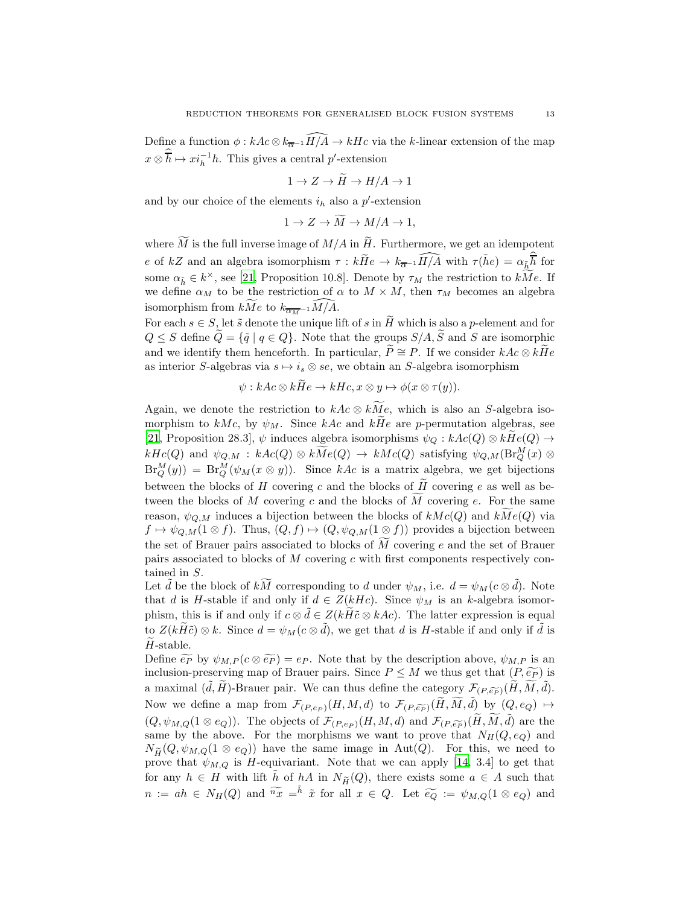Define a function  $\phi : kAc \otimes k_{\overline{\alpha}^{-1}}\widehat{H/A} \to kHc$  via the k-linear extension of the map  $x \otimes \overline{h} \mapsto x_i^{-1}h$ . This gives a central p'-extension

$$
1 \to Z \to \widetilde{H} \to H/A \to 1
$$

and by our choice of the elements  $i_h$  also a  $p'$ -extension

$$
1 \rightarrow Z \rightarrow M \rightarrow M/A \rightarrow 1,
$$

where  $\widetilde{M}$  is the full inverse image of  $M/A$  in  $\widetilde{H}$ . Furthermore, we get an idempotent e of kZ and an algebra isomorphism  $\tau : k\tilde{H}e \to k_{\overline{\alpha}^{-1}}\widehat{H/A}$  with  $\tau(k\tilde{h}e) = \alpha_{\tilde{h}}\overline{\tilde{h}}$  for some  $\alpha_{\tilde{h}} \in k^{\times}$ , see [\[21](#page-19-4), Proposition 10.8]. Denote by  $\tau_M$  the restriction to  $kMe$ . If we define  $\alpha_M$  to be the restriction of  $\alpha$  to  $M \times M$ , then  $\tau_M$  becomes an algebra isomorphism from  $kMe$  to  $k_{\overline{\alpha_{M}}-1}M/A$ .

For each  $s \in S$ , let  $\tilde{s}$  denote the unique lift of s in  $\tilde{H}$  which is also a p-element and for  $Q \leq S$  define  $\widetilde{Q} = {\{\widetilde{q} \mid q \in Q\}}$ . Note that the groups  $S/A$ ,  $\widetilde{S}$  and  $S$  are isomorphic and we identify them henceforth. In particular,  $\widetilde{P} \cong P$ . If we consider  $kAc \otimes k\widetilde{H}e$ as interior S-algebras via  $s \mapsto i_s \otimes s e$ , we obtain an S-algebra isomorphism

$$
\psi: kAc \otimes kHe \to kHc, x \otimes y \mapsto \phi(x \otimes \tau(y)).
$$

Again, we denote the restriction to  $kAc \otimes kMe$ , which is also an S-algebra isomorphism to kMc, by  $\psi_M$ . Since kAc and kHe are p-permutation algebras, see [\[21,](#page-19-4) Proposition 28.3],  $\psi$  induces algebra isomorphisms  $\psi_Q : kAc(Q) \otimes kHe(Q) \rightarrow$  $kHc(Q)$  and  $\psi_{Q,M} : kAc(Q) \otimes k\widetilde{Me}(Q) \to kMc(Q)$  satisfying  $\psi_{Q,M}(\operatorname{Br}_Q^M(x) \otimes$  $\text{Br}_Q^M(y) = \text{Br}_Q^M(\psi_M(x \otimes y)).$  Since kAc is a matrix algebra, we get bijections between the blocks of H covering c and the blocks of  $\hat{H}$  covering e as well as between the blocks of M covering c and the blocks of M covering e. For the same reason,  $\psi_{Q,M}$  induces a bijection between the blocks of  $kMc(Q)$  and  $kMe(Q)$  via  $f \mapsto \psi_{Q,M}(1 \otimes f)$ . Thus,  $(Q, f) \mapsto (Q, \psi_{Q,M}(1 \otimes f))$  provides a bijection between the set of Brauer pairs associated to blocks of  $\overline{M}$  covering e and the set of Brauer pairs associated to blocks of  $M$  covering  $c$  with first components respectively contained in S.

Let  $\tilde{d}$  be the block of  $k\widetilde{M}$  corresponding to d under  $\psi_M$ , i.e.  $d = \psi_M(c \otimes \tilde{d})$ . Note that d is H-stable if and only if  $d \in Z(kHc)$ . Since  $\psi_M$  is an k-algebra isomorphism, this is if and only if  $c \otimes \tilde{d} \in Z(k\tilde{H}\tilde{c} \otimes k\tilde{A}c)$ . The latter expression is equal to  $Z(k\widetilde{H}\widetilde{c})\otimes k$ . Since  $d=\psi_M(c\otimes \widetilde{d})$ , we get that d is H-stable if and only if  $\widetilde{d}$  is  $\tilde{H}$ -stable.

Define  $\widetilde{e_P}$  by  $\psi_{M,P}(c \otimes \widetilde{e_P}) = e_P$ . Note that by the description above,  $\psi_{M,P}$  is an inclusion-preserving map of Brauer pairs. Since  $P \leq M$  we thus get that  $(P, \widetilde{e_P})$  is a maximal  $(\tilde{d}, \tilde{H})$ -Brauer pair. We can thus define the category  $\mathcal{F}_{(P,\widetilde{e_P})}(\tilde{H}, \tilde{M}, \tilde{d})$ . Now we define a map from  $\mathcal{F}_{(P,e_P)}(H, M, d)$  to  $\mathcal{F}_{(P,\widetilde{e_P})}(\widetilde{H}, \widetilde{M}, \widetilde{d})$  by  $(Q, e_Q) \mapsto$  $(Q, \psi_{M,Q}(1 \otimes e_Q))$ . The objects of  $\mathcal{F}_{(P,e_P)}(H, M, d)$  and  $\mathcal{F}_{(P,\widetilde{e_P})}(H, M, d)$  are the same by the above. For the morphisms we want to prove that  $N_H(Q, e_Q)$  and  $N_{\widetilde{H}}(Q, \psi_{M,Q}(1 \otimes e_Q))$  have the same image in Aut(Q). For this, we need to prove that  $\psi_{M,Q}$  is H-equivariant. Note that we can apply [\[14,](#page-18-9) 3.4] to get that for any  $h \in H$  with lift  $\tilde{h}$  of  $hA$  in  $N_{\tilde{H}}(Q)$ , there exists some  $a \in A$  such that  $n := ah \in N_H(Q)$  and  $\widetilde{K}x = \widetilde{h} \tilde{x}$  for all  $x \in Q$ . Let  $\widetilde{e_Q} := \psi_{M,Q}(1 \otimes e_Q)$  and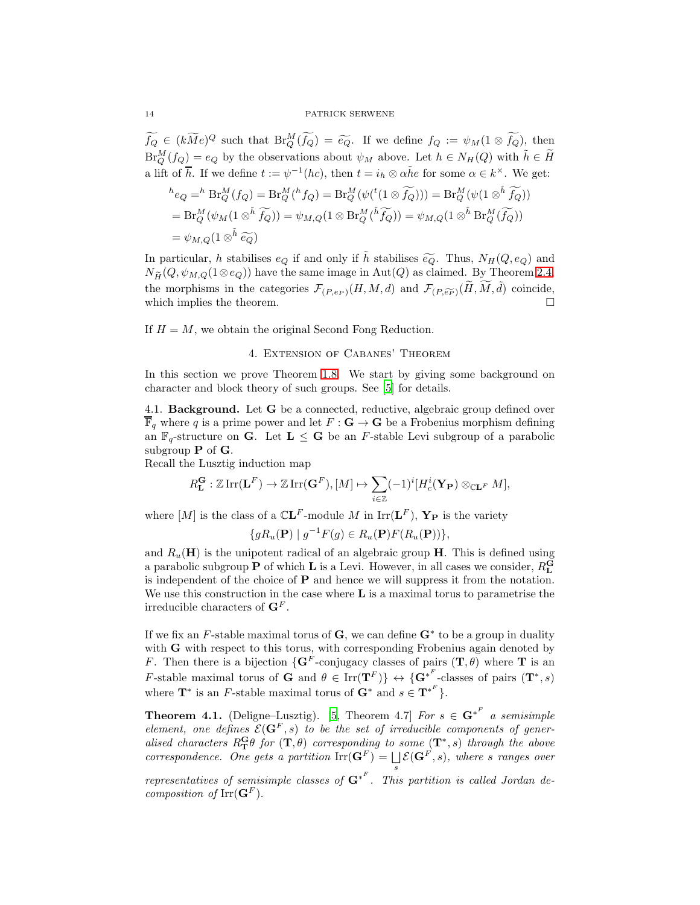$\widetilde{f_Q} \in (k\widetilde{M}e)^Q$  such that  $\text{Br}_Q^M(\widetilde{f_Q}) = \widetilde{e_Q}$ . If we define  $f_Q := \psi_M(1 \otimes \widetilde{f_Q})$ , then  $Br_Q^M(f_Q) = e_Q$  by the observations about  $\psi_M$  above. Let  $h \in N_H(Q)$  with  $\tilde{h} \in \tilde{H}$ a lift of  $\overline{h}$ . If we define  $t := \psi^{-1}(hc)$ , then  $t = i_h \otimes \alpha \tilde{h}e$  for some  $\alpha \in k^{\times}$ . We get:

$$
{}^{h}e_{Q} = {}^{h}Br_{Q}^{M}(f_{Q}) = Br_{Q}^{M}({}^{h}f_{Q}) = Br_{Q}^{M}(\psi({}^{t}(1 \otimes \widetilde{f_{Q}}))) = Br_{Q}^{M}(\psi(1 \otimes {}^{\tilde{h}}\widetilde{f_{Q}}))
$$
  
=  $Br_{Q}^{M}(\psi_{M}(1 \otimes {}^{\tilde{h}}\widetilde{f_{Q}})) = \psi_{M,Q}(1 \otimes Br_{Q}^{M}({}^{\tilde{h}}\widetilde{f_{Q}})) = \psi_{M,Q}(1 \otimes {}^{\tilde{h}}Br_{Q}^{M}(\widetilde{f_{Q}}))$   
=  $\psi_{M,Q}(1 \otimes {}^{\tilde{h}}\widetilde{e_{Q}})$ 

In particular, h stabilises  $e_Q$  if and only if h stabilises  $\widetilde{e_Q}$ . Thus,  $N_H(Q, e_Q)$  and  $N_{\widetilde{H}}(Q, \psi_{M,Q}(1\otimes e_Q))$  have the same image in Aut $(Q)$  as claimed. By Theorem [2.4,](#page-3-0) the morphisms in the categories  $\mathcal{F}_{(P,e_P)}(H, M, d)$  and  $\mathcal{F}_{(P,\widetilde{e_P})}(\widetilde{H}, \widetilde{M}, \widetilde{d})$  coincide, which implies the theorem.

<span id="page-13-0"></span>If  $H = M$ , we obtain the original Second Fong Reduction.

## 4. Extension of Cabanes' Theorem

In this section we prove Theorem [1.8.](#page-2-0) We start by giving some background on character and block theory of such groups. See [\[5](#page-18-5)] for details.

4.1. Background. Let G be a connected, reductive, algebraic group defined over  $\overline{\mathbb{F}}_q$  where q is a prime power and let  $F: \mathbf{G} \to \mathbf{G}$  be a Frobenius morphism defining an  $\mathbb{F}_q$ -structure on **G**. Let  $L \leq G$  be an *F*-stable Levi subgroup of a parabolic subgroup  $P$  of  $G$ .

Recall the Lusztig induction map

$$
R_{\mathbf{L}}^{\mathbf{G}}:\mathbb{Z}\operatorname{Irr}(\mathbf{L}^F)\to \mathbb{Z}\operatorname{Irr}(\mathbf{G}^F),[M]\mapsto \sum_{i\in\mathbb{Z}}(-1)^i[H^i_c(\mathbf{Y}_{\mathbf{P}})\otimes_{\mathbb{C}\mathbf{L}^F}M],
$$

where  $[M]$  is the class of a  $\mathbb{C}$ **L**<sup>F</sup>-module M in  $\text{Irr}$ **L**<sup>F</sup>), **Y**<sub>P</sub> is the variety

$$
\{gR_u(\mathbf{P}) \mid g^{-1}F(g) \in R_u(\mathbf{P})F(R_u(\mathbf{P}))\},\
$$

and  $R_u(\mathbf{H})$  is the unipotent radical of an algebraic group  $\mathbf{H}$ . This is defined using a parabolic subgroup **P** of which **L** is a Levi. However, in all cases we consider,  $R_{\text{L}}^{\text{G}}$ is independent of the choice of  $P$  and hence we will suppress it from the notation. We use this construction in the case where  $L$  is a maximal torus to parametrise the irreducible characters of  $\mathbf{G}^F$ .

If we fix an F-stable maximal torus of  $G$ , we can define  $G^*$  to be a group in duality with **G** with respect to this torus, with corresponding Frobenius again denoted by F. Then there is a bijection  $\{G^F\text{-conjugacy classes of pairs }({\bf T},\theta) \text{ where } {\bf T} \text{ is an }$ F-stable maximal torus of G and  $\theta \in \text{Irr}(\mathbf{T}^F)$   $\leftrightarrow$   $\{\mathbf{G}^{*^F}$ -classes of pairs  $(\mathbf{T}^*, s)$ where  $\mathbf{T}^*$  is an F-stable maximal torus of  $\mathbf{G}^*$  and  $s \in \mathbf{T}^{*^F}$ .

**Theorem 4.1.** (Deligne–Lusztig). [\[5,](#page-18-5) Theorem 4.7] *For*  $s \in \mathbf{G}^{*^F}$  a semisimple *element, one defines*  $\mathcal{E}(\mathbf{G}^F, s)$  *to be the set of irreducible components of gener*alised characters  $R_{\mathbf{T}}^{\mathbf{G}} \theta$  for  $(\mathbf{T}, \theta)$  corresponding to some  $(\mathbf{T}^*, s)$  *through the above correspondence. One gets a partition*  $\text{Irr}(\mathbf{G}^F) = \bigsqcup \mathcal{E}(\mathbf{G}^F, s)$ *, where* s ranges over s

*representatives of semisimple classes of* G<sup>∗</sup> F *. This partition is called Jordan decomposition of*  $\mathrm{Irr}(\mathbf{G}^F)$ .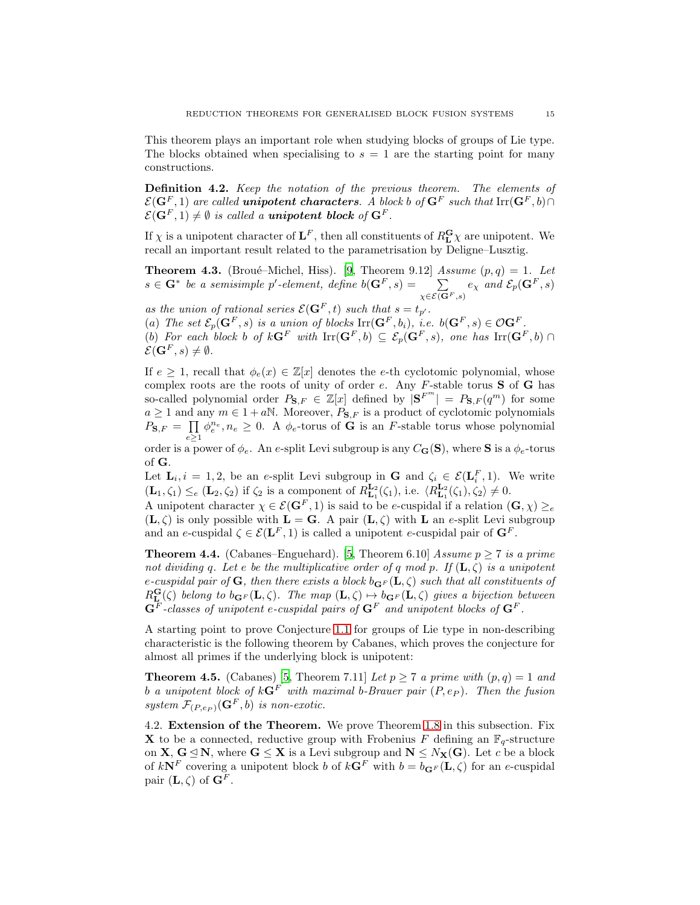This theorem plays an important role when studying blocks of groups of Lie type. The blocks obtained when specialising to  $s = 1$  are the starting point for many constructions.

Definition 4.2. *Keep the notation of the previous theorem. The elements of*  $\mathcal{E}(\mathbf{G}^F, 1)$  are called **unipotent characters**. A block b of  $\mathbf{G}^F$  such that  $\text{Irr}(\mathbf{G}^F, b) \cap$  $\mathcal{E}(\mathbf{G}^F, 1) \neq \emptyset$  *is called a unipotent block of*  $\mathbf{G}^F$ .

If  $\chi$  is a unipotent character of  $\mathbf{L}^F$ , then all constituents of  $R_{\mathbf{L}}^{\mathbf{G}} \chi$  are unipotent. We recall an important result related to the parametrisation by Deligne–Lusztig.

<span id="page-14-1"></span>**Theorem 4.3.** (Broué–Michel, Hiss). [\[9](#page-18-4), Theorem 9.12] *Assume*  $(p,q) = 1$ *. Let*  $s \in \mathbf{G}^*$  be a semisimple p'-element, define  $b(\mathbf{G}^F, s) = \sum_{i=1}^{n}$  $\chi \in \mathcal{E}(\mathbf{G}^F, s)$  $e_\chi$  and  $\mathcal{E}_p(\mathbf{G}^F,s)$ 

*as the union of rational series*  $\mathcal{E}(\mathbf{G}^F, t)$  *such that*  $s = t_p$ .

(a) The set  $\mathcal{E}_p(\mathbf{G}^F, s)$  is a union of blocks  $\text{Irr}(\mathbf{G}^F, b_i)$ , i.e.  $b(\mathbf{G}^F, s) \in \mathcal{O}\mathbf{G}^F$ .

(b) For each block b of  $k\mathbf{G}^F$  with  $\mathrm{Irr}(\mathbf{G}^F,b) \subseteq \mathcal{E}_p(\mathbf{G}^F,s)$ , one has  $\mathrm{Irr}(\mathbf{G}^F,b) \cap$  $\mathcal{E}(\mathbf{G}^F, s) \neq \emptyset$ .

If  $e \geq 1$ , recall that  $\phi_e(x) \in \mathbb{Z}[x]$  denotes the e-th cyclotomic polynomial, whose complex roots are the roots of unity of order  $e$ . Any  $F$ -stable torus  $S$  of  $G$  has so-called polynomial order  $P_{\mathbf{S},F} \in \mathbb{Z}[x]$  defined by  $|\mathbf{S}^{F^m}| = P_{\mathbf{S},F}(q^m)$  for some  $a \ge 1$  and any  $m \in 1 + a\mathbb{N}$ . Moreover,  $P_{\mathbf{S},F}$  is a product of cyclotomic polynomials  $\overline{P_{\mathbf{S},F}} = \prod$  $e\geq 1$  $\phi_e^{n_e}, n_e \geq 0$ . A  $\phi_e$ -torus of **G** is an *F*-stable torus whose polynomial

order is a power of  $\phi_e$ . An e-split Levi subgroup is any  $C_G(S)$ , where S is a  $\phi_e$ -torus of G.

Let  $\mathbf{L}_i, i = 1, 2$ , be an e-split Levi subgroup in **G** and  $\zeta_i \in \mathcal{E}(\mathbf{L}_i^F, 1)$ . We write  $(\mathbf{L}_1, \zeta_1) \leq_e (\mathbf{L}_2, \zeta_2)$  if  $\zeta_2$  is a component of  $R_{\mathbf{L}_1}^{\mathbf{L}_2}(\zeta_1)$ , i.e.  $\langle R_{\mathbf{L}_1}^{\mathbf{L}_2}(\zeta_1), \zeta_2 \rangle \neq 0$ .

A unipotent character  $\chi \in \mathcal{E}(\mathbf{G}^F, 1)$  is said to be e-cuspidal if a relation  $(\mathbf{G}, \chi) \geq_e$  $(L, \zeta)$  is only possible with  $L = G$ . A pair  $(L, \zeta)$  with L an e-split Levi subgroup and an e-cuspidal  $\zeta \in \mathcal{E}(\mathbf{L}^F, 1)$  is called a unipotent e-cuspidal pair of  $\mathbf{G}^F$ .

**Theorem 4.4.** (Cabanes–Enguehard). [\[5](#page-18-5), Theorem 6.10] *Assume*  $p \ge 7$  *is a prime not dividing* q. Let e be the multiplicative order of q mod p. If  $(L, \zeta)$  is a unipotent  $e$ -cuspidal pair of **G**, then there exists a block  $b_{\mathbf{G}F}(\mathbf{L}, \zeta)$  such that all constituents of  $R_{\mathbf{L}}^{\mathbf{G}}(\zeta)$  *belong to*  $b_{\mathbf{G}^F}(\mathbf{L}, \zeta)$ . The map  $(\mathbf{L}, \zeta) \rightarrow b_{\mathbf{G}^F}(\mathbf{L}, \zeta)$  gives a bijection between  $\mathbf{G}^F$ -classes of unipotent e-cuspidal pairs of  $\mathbf{G}^F$  and unipotent blocks of  $\mathbf{G}^F$ .

A starting point to prove Conjecture [1.1](#page-0-0) for groups of Lie type in non-describing characteristic is the following theorem by Cabanes, which proves the conjecture for almost all primes if the underlying block is unipotent:

<span id="page-14-0"></span>**Theorem 4.5.** (Cabanes) [\[5,](#page-18-5) Theorem 7.11] *Let*  $p \ge 7$  *a prime with*  $(p,q) = 1$  *and*  $b$  *a unipotent block of*  $k\mathbf{G}^F$  *with maximal b-Brauer pair*  $(P, e_P)$ *. Then the fusion system*  $\mathcal{F}_{(P,e_P)}(\mathbf{G}^F, b)$  *is non-exotic.* 

4.2. Extension of the Theorem. We prove Theorem [1.8](#page-2-0) in this subsection. Fix **X** to be a connected, reductive group with Frobenius F defining an  $\mathbb{F}_q$ -structure on **X**,  $G \leq N$ , where  $G \leq X$  is a Levi subgroup and  $N \leq N_X(G)$ . Let c be a block of  $kN^F$  covering a unipotent block b of  $k\overline{G}^F$  with  $b = b_{\overline{G}^F}(L, \zeta)$  for an e-cuspidal pair  $(L, \zeta)$  of  $G^F$ .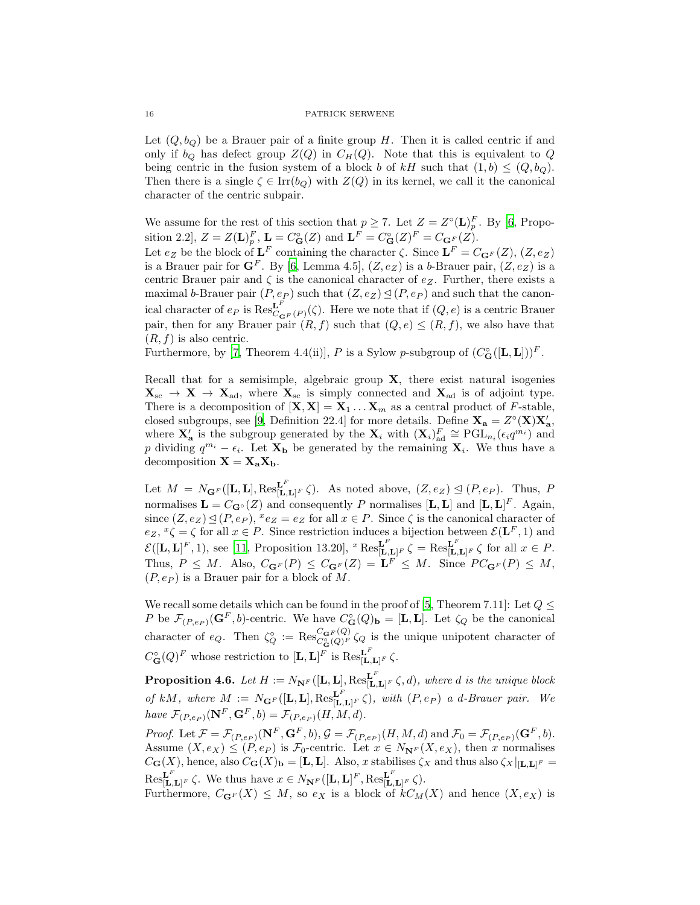Let  $(Q, b_Q)$  be a Brauer pair of a finite group H. Then it is called centric if and only if  $b_Q$  has defect group  $Z(Q)$  in  $C_H(Q)$ . Note that this is equivalent to Q being centric in the fusion system of a block b of kH such that  $(1, b) \leq (Q, b_Q)$ . Then there is a single  $\zeta \in \text{Irr}(b_Q)$  with  $Z(Q)$  in its kernel, we call it the canonical character of the centric subpair.

We assume for the rest of this section that  $p \geq 7$ . Let  $Z = Z^{\circ}(\mathbf{L})_p^F$ . By [\[6,](#page-18-10) Proposition 2.2,  $Z = Z(\mathbf{L})_p^F$ ,  $\mathbf{L} = C^{\circ}_{\mathbf{G}}(Z)$  and  $\mathbf{L}^F = C^{\circ}_{\mathbf{G}}(Z)^F = C_{\mathbf{G}^F}(Z)$ .

Let  $e_Z$  be the block of  $\mathbf{L}^F$  containing the character  $\zeta$ . Since  $\mathbf{L}^F = C_{\mathbf{G}^F}(Z)$ ,  $(Z, e_Z)$ is a Brauer pair for  $\mathbf{G}^F$ . By [\[6](#page-18-10), Lemma 4.5],  $(Z,e_Z)$  is a b-Brauer pair,  $(Z,e_Z)$  is a centric Brauer pair and  $\zeta$  is the canonical character of  $e_Z$ . Further, there exists a maximal b-Brauer pair  $(P, e_P)$  such that  $(Z, e_Z) \trianglelefteq (P, e_P)$  and such that the canonical character of  $e_P$  is  $\operatorname{Res}_{C}^{\mathbf{L}^F}$  $\mathcal{L}_{GF(P)}^{\mathbf{L}}(\zeta)$ . Here we note that if  $(Q,e)$  is a centric Brauer pair, then for any Brauer pair  $(R, f)$  such that  $(Q, e) \leq (R, f)$ , we also have that  $(R, f)$  is also centric.

Furthermore, by [\[7,](#page-18-11) Theorem 4.4(ii)], P is a Sylow p-subgroup of  $(C_G^{\circ}([\mathbf{L}, \mathbf{L}]))^F$ .

Recall that for a semisimple, algebraic group X, there exist natural isogenies  $X_{\rm sc} \to X \to X_{\rm ad}$ , where  $X_{\rm sc}$  is simply connected and  $X_{\rm ad}$  is of adjoint type. There is a decomposition of  $[\mathbf{X}, \mathbf{X}] = \mathbf{X}_1 \dots \mathbf{X}_m$  as a central product of *F*-stable, closed subgroups, see [\[9](#page-18-4), Definition 22.4] for more details. Define  $X_a = Z^{\circ}(X)X'_a$ , where  $\mathbf{X}'_{\mathbf{a}}$  is the subgroup generated by the  $\mathbf{X}_i$  with  $(\mathbf{X}_i)_{\text{ad}}^F \cong \text{PGL}_{n_i}(\epsilon_i q^{m_i})$  and p dividing  $q^{m_i} - \epsilon_i$ . Let  $\mathbf{X}_b$  be generated by the remaining  $\mathbf{X}_i$ . We thus have a decomposition  $X = X_a X_b$ .

Let  $M = N_{\mathbf{G}^F}([\mathbf{L}, \mathbf{L}], \text{Res}_{[\mathbf{L}, \mathbf{L}]^F}^{\mathbf{L}^F} \zeta$ . As noted above,  $(Z, e_Z) \trianglelefteq (P, e_P)$ . Thus, P normalises  $\mathbf{L} = C_{\mathbf{G}^{\circ}}(Z)$  and consequently P normalises  $[\mathbf{L}, \mathbf{L}]$  and  $[\mathbf{L}, \mathbf{L}]^F$ . Again, since  $(Z, e_Z) \trianglelefteq (P, e_P)$ ,  $e_Z = e_Z$  for all  $x \in P$ . Since  $\zeta$  is the canonical character of  $e_Z, {}^x\zeta = \zeta$  for all  $x \in P$ . Since restriction induces a bijection between  $\mathcal{E}(\mathbf{L}^F, 1)$  and  $\mathcal{E}([\mathbf{L}, \mathbf{L}]^F, 1)$ , see [\[11](#page-18-12), Proposition 13.20],  $^x \text{Res}^{\mathbf{L}^F}_{[\mathbf{L}, \mathbf{L}]^F} \zeta = \text{Res}^{\mathbf{L}^F}_{[\mathbf{L}, \mathbf{L}]^F} \zeta$  for all  $x \in P$ . Thus,  $P \leq M$ . Also,  $C_{\mathbf{G}^F}(P) \leq C_{\mathbf{G}^F}(Z) = \mathbf{L}^F \leq M$ . Since  $PC_{\mathbf{G}^F}(P) \leq M$ ,  $(P, e_P)$  is a Brauer pair for a block of M.

We recall some details which can be found in the proof of [\[5,](#page-18-5) Theorem 7.11]: Let  $Q \leq$ P be  $\mathcal{F}_{(P,e_P)}(\mathbf{G}^F, b)$ -centric. We have  $C^{\circ}_{\mathbf{G}}(Q)_{\mathbf{b}} = [\mathbf{L}, \mathbf{L}]$ . Let  $\zeta_Q$  be the canonical character of  $e_Q$ . Then  $\zeta_Q^{\circ} := \text{Res}_{C_{\mathbf{G}}^{\circ}(Q)^F}^{C_{\mathbf{G}}(Q)} \zeta_Q$  is the unique unipotent character of  $C^{\circ}_{\mathbf{G}}(Q)^{F}$  whose restriction to  $[\mathbf{L}, \mathbf{L}]^{F}$  is  $\mathrm{Res}^{\mathbf{L}^{F}}_{[\mathbf{L}, \mathbf{L}]^{F}} \zeta$ .

<span id="page-15-0"></span>**Proposition 4.6.** Let  $H := N_{\mathbf{N}^F}([\mathbf{L}, \mathbf{L}], \text{Res}_{[\mathbf{L}, \mathbf{L}]^F}^{\mathbf{L}^F} \zeta, d)$ , where d is the unique block *of* kM, where  $M := N_{\mathbf{G}^F}([\mathbf{L}, \mathbf{L}], \text{Res}^{\mathbf{L}^F}_{[\mathbf{L}, \mathbf{L}]^F} \zeta)$ , with  $(P, e_P)$  *a d-Brauer pair. We* have  $\mathcal{F}_{(P,e_P)}(\mathbf{N}^F, \mathbf{G}^F, b) = \mathcal{F}_{(P,e_P)}(H, M, d)$ .

*Proof.* Let  $\mathcal{F} = \mathcal{F}_{(P,e_P)}(\mathbf{N}^F, \mathbf{G}^F, b), \mathcal{G} = \mathcal{F}_{(P,e_P)}(H, M, d)$  and  $\mathcal{F}_0 = \mathcal{F}_{(P,e_P)}(\mathbf{G}^F, b)$ . Assume  $(X, e_X) \leq (P, e_P)$  is  $\mathcal{F}_0$ -centric. Let  $x \in N_{\mathbf{N}^F}(X, e_X)$ , then x normalises  $C_{\bf G}(X)$ , hence, also  $C_{\bf G}(X)_{\bf b} = [{\bf L},{\bf L}].$  Also, x stabilises  $\zeta_X$  and thus also  $\zeta_X|_{[{\bf L},{\bf L}]^F} =$  $\text{Res}_{[\mathbf{L},\mathbf{L}]^F}^{\mathbf{L}^F} \zeta$ . We thus have  $x \in N_{\mathbf{N}^F}([\mathbf{L},\mathbf{L}]^F, \text{Res}_{[\mathbf{L},\mathbf{L}]^F}^{\mathbf{L}^F} \zeta$ .

Furthermore,  $C_{\mathbf{G}^F}(X) \leq M$ , so  $e_X$  is a block of  $kC_M(X)$  and hence  $(X, e_X)$  is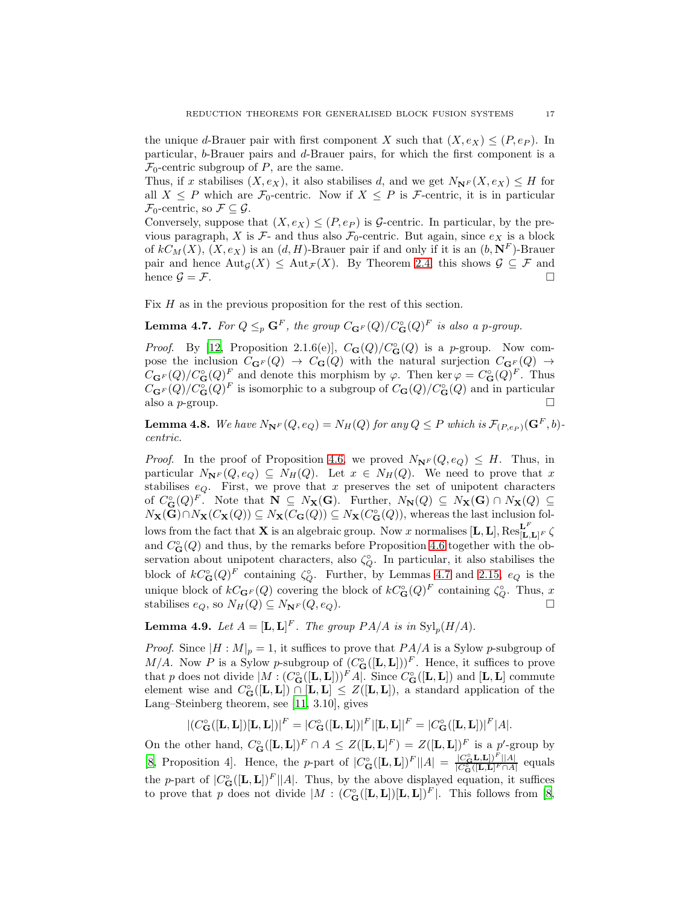the unique d-Brauer pair with first component X such that  $(X, e_X) \leq (P, e_P)$ . In particular, b-Brauer pairs and d-Brauer pairs, for which the first component is a  $\mathcal{F}_0$ -centric subgroup of P, are the same.

Thus, if x stabilises  $(X, e_X)$ , it also stabilises d, and we get  $N_{\mathbf{N}^F}(X, e_X) \leq H$  for all  $X \leq P$  which are  $\mathcal{F}_0$ -centric. Now if  $X \leq P$  is  $\mathcal{F}_0$ -centric, it is in particular  $\mathcal{F}_0$ -centric, so  $\mathcal{F} \subseteq \mathcal{G}$ .

Conversely, suppose that  $(X, e_X) \leq (P, e_P)$  is G-centric. In particular, by the previous paragraph, X is  $\mathcal{F}_2$ - and thus also  $\mathcal{F}_0$ -centric. But again, since  $e_X$  is a block of  $kC_M(X)$ ,  $(X, e_X)$  is an  $(d, H)$ -Brauer pair if and only if it is an  $(b, N^F)$ -Brauer pair and hence  $\text{Aut}_{\mathcal{G}}(X) \leq \text{Aut}_{\mathcal{F}}(X)$ . By Theorem [2.4,](#page-3-0) this shows  $\mathcal{G} \subseteq \mathcal{F}$  and hence  $\mathcal{G} = \mathcal{F}$ .

Fix H as in the previous proposition for the rest of this section.

<span id="page-16-0"></span>**Lemma 4.7.** For  $Q \leq_p \mathbf{G}^F$ , the group  $C_{\mathbf{G}^F}(Q)/C^{\circ}_{\mathbf{G}}(Q)^F$  is also a p-group.

*Proof.* By [\[12,](#page-18-13) Proposition 2.1.6(e)],  $C_{\mathbf{G}}(Q)/C_{\mathbf{G}}(Q)$  is a p-group. Now compose the inclusion  $C_{\mathbf{G}F}(Q) \rightarrow C_{\mathbf{G}}(Q)$  with the natural surjection  $C_{\mathbf{G}F}(Q) \rightarrow$  $C_{\mathbf{G}^F}(Q)/C_{\mathbf{G}}^{\circ}(Q)^F$  and denote this morphism by  $\varphi$ . Then ker  $\varphi = C_{\mathbf{G}}^{\circ}(Q)^F$ . Thus  $C_{\mathbf{G}^F}(Q)/C^{\circ}_{\mathbf{G}}(Q)^F$  is isomorphic to a subgroup of  $C_{\mathbf{G}}(Q)/C^{\circ}_{\mathbf{G}}(Q)$  and in particular also a p-group.

<span id="page-16-1"></span>**Lemma 4.8.** We have  $N_{\mathbf{N}^F}(Q, e_Q) = N_H(Q)$  for any  $Q \leq P$  which is  $\mathcal{F}_{(P, e_P)}(\mathbf{G}^F, b)$ *centric.*

*Proof.* In the proof of Proposition [4.6,](#page-15-0) we proved  $N_{\mathbf{N}^F}(Q, e_Q) \leq H$ . Thus, in particular  $N_{\mathbf{N}^F}(Q, e_Q) \subseteq N_H(Q)$ . Let  $x \in N_H(Q)$ . We need to prove that x stabilises  $e_Q$ . First, we prove that x preserves the set of unipotent characters of  $C_{\bf G}^{\circ}(Q)^F$ . Note that  ${\bf N} \subseteq N_{\bf X}({\bf G})$ . Further,  $N_{\bf N}(Q) \subseteq N_{\bf X}({\bf G}) \cap N_{\bf X}(Q) \subseteq$  $N_{\mathbf{X}}(\mathbf{G}) \cap N_{\mathbf{X}}(C_{\mathbf{X}}(Q)) \subseteq N_{\mathbf{X}}(C_{\mathbf{G}}(Q)) \subseteq N_{\mathbf{X}}(C_{\mathbf{G}}^{\circ}(Q)),$  whereas the last inclusion follows from the fact that **X** is an algebraic group. Now x normalises  $[\mathbf{L}, \mathbf{L}]$ ,  $\text{Res}_{[\mathbf{L}, \mathbf{L}]^F}^{\mathbf{L}^F}$ and  $C_{\mathbf{G}}^{\circ}(Q)$  and thus, by the remarks before Proposition [4.6](#page-15-0) together with the observation about unipotent characters, also  $\zeta_{Q}^{\circ}$ . In particular, it also stabilises the block of  $kC_{\mathbf{G}}^{\circ}(Q)^{F}$  containing  $\zeta_{Q}^{\circ}$ . Further, by Lemmas [4.7](#page-16-0) and [2.15,](#page-5-4)  $e_{Q}$  is the unique block of  $kC_{\mathbf{G}F}(Q)$  covering the block of  $kC_{\mathbf{G}}^{\circ}(Q)^{F}$  containing  $\zeta_{Q}^{\circ}$ . Thus, x stabilises  $e_Q$ , so  $N_H(Q) \subseteq N_{\mathbf{N}^F}(Q, e_Q)$ .

<span id="page-16-2"></span>**Lemma 4.9.** Let  $A = [\mathbf{L}, \mathbf{L}]^F$ . The group  $PA/A$  is in  $\text{Syl}_p(H/A)$ .

*Proof.* Since  $|H: M|_p = 1$ , it suffices to prove that  $PA/A$  is a Sylow p-subgroup of M/A. Now P is a Sylow p-subgroup of  $(C_G^{\circ}([\mathbf{L}, \mathbf{L}]))^F$ . Hence, it suffices to prove that p does not divide  $|M : (C_G^{\circ}([L,L]))^F A|$ . Since  $C_G^{\circ}([L,L])$  and  $[L,L]$  commute element wise and  $C_G^{\circ}([\mathbf{L}, \mathbf{L}]) \cap [\mathbf{L}, \mathbf{L}] \leq Z([\mathbf{L}, \mathbf{L}])$ , a standard application of the Lang–Steinberg theorem, see [\[11](#page-18-12), 3.10], gives

$$
| (C^{\circ}_{\mathbf{G}}([\mathbf{L}, \mathbf{L}]) [\mathbf{L}, \mathbf{L}]) |^{F} = | C^{\circ}_{\mathbf{G}}([\mathbf{L}, \mathbf{L}]) |^{F} [[\mathbf{L}, \mathbf{L}] |^{F} = | C^{\circ}_{\mathbf{G}}([\mathbf{L}, \mathbf{L}]) |^{F} |A|.
$$

On the other hand,  $C_G^{\circ}([\mathbf{L}, \mathbf{L}])^F \cap A \leq Z([\mathbf{L}, \mathbf{L}]^F) = Z([\mathbf{L}, \mathbf{L}])^F$  is a p'-group by [\[8,](#page-18-14) Proposition 4]. Hence, the p-part of  $|C_{\bf G}^{\circ}([\mathbf{L}, \mathbf{L}])^F||A| = \frac{|C_{\bf G}^{\circ} \mathbf{L}, \mathbf{L}|^F||A|}{|C_{\bf G}^{\circ}([\mathbf{L}, \mathbf{L}]^F \cap A|)}$  $\frac{C_{\mathbf{G}} \mathbf{L}, \mathbf{L}[U]}{|C_{\mathbf{G}}^{\circ}([{\mathbf{L}}, {\mathbf{L}}]^F \cap A|}$  equals the p-part of  $|C_{\bf G}^{\circ}([{\bf L},{\bf L}])^F||A|$ . Thus, by the above displayed equation, it suffices to prove that p does not divide  $|M : (C_G^{\circ}([\mathbf{L}, \mathbf{L}])[ \mathbf{L}, \mathbf{L}])^F|$ . This follows from [\[8,](#page-18-14)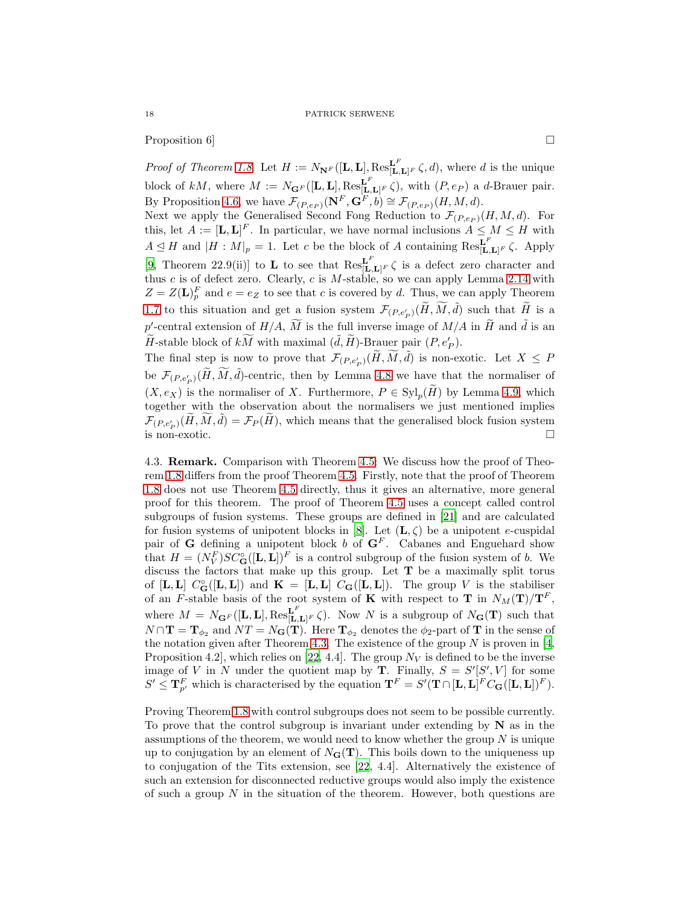Proposition 6]

*Proof of Theorem [1.8](#page-2-0).* Let  $H := N_{\mathbf{N}^F}([\mathbf{L}, \mathbf{L}], \text{Res}_{[\mathbf{L}, \mathbf{L}]^F}^{\mathbf{L}^F} \zeta, d)$ , where d is the unique block of kM, where  $M := N_{\mathbf{G}^F}([\mathbf{L}, \mathbf{L}], \text{Res}_{[\mathbf{L}, \mathbf{L}]^F}^{\mathbf{L}^F}(\zeta)$ , with  $(P, e_P)$  a d-Brauer pair. By Proposition [4.6,](#page-15-0) we have  $\mathcal{F}_{(P,e_P)}(\mathbf{N}^F, \mathbf{G}^F, b) \cong \mathcal{F}_{(P,e_P)}(H, M, d)$ .

Next we apply the Generalised Second Fong Reduction to  $\mathcal{F}_{(P,e_P)}(H, M, d)$ . For this, let  $A := [\mathbf{L}, \mathbf{L}]^F$ . In particular, we have normal inclusions  $A \leq M \leq H$  with  $A \leq H$  and  $|H : M|_p = 1$ . Let c be the block of A containing  $\text{Res}_{[\mathbf{L},\mathbf{L}]^F}^{\mathbf{L}^F} \zeta$ . Apply [\[9,](#page-18-4) Theorem 22.9(ii)] to **L** to see that  $\text{Res}_{[\mathbf{L},\mathbf{L}]^F}^{\mathbf{L}^F} \zeta$  is a defect zero character and thus  $c$  is of defect zero. Clearly,  $c$  is  $M$ -stable, so we can apply Lemma [2.14](#page-5-5) with  $Z = Z(\mathbf{L})_p^F$  and  $e = e_Z$  to see that c is covered by d. Thus, we can apply Theorem [1.7](#page-1-3) to this situation and get a fusion system  $\mathcal{F}_{(P,e'_{P})}(\widetilde{H}, \widetilde{M}, \widetilde{d})$  such that  $\widetilde{H}$  is a p'-central extension of  $H/A$ ,  $\widetilde{M}$  is the full inverse image of  $M/A$  in  $\widetilde{H}$  and  $\widetilde{d}$  is an  $\widetilde{H}$ -stable block of  $k\widetilde{M}$  with maximal  $(\widetilde{d}, \widetilde{H})$ -Brauer pair  $(P, e'_P)$ .

The final step is now to prove that  $\mathcal{F}_{(P,e'_{P})}(\widetilde{H}, \widetilde{M}, \widetilde{d})$  is non-exotic. Let  $X \leq P$ be  $\mathcal{F}_{(P,e'_P)}(\widetilde{H}, \widetilde{M}, \widetilde{d})$ -centric, then by Lemma [4.8](#page-16-1) we have that the normaliser of  $(X, e_X)$  is the normaliser of X. Furthermore,  $P \in Syl_p(H)$  by Lemma [4.9,](#page-16-2) which together with the observation about the normalisers we just mentioned implies  $\mathcal{F}_{(P,e'_P)}(\widetilde{H}, \widetilde{M}, \widetilde{d}) = \mathcal{F}_P(\widetilde{H})$ , which means that the generalised block fusion system is non-exotic.  $\Box$ 

4.3. Remark. Comparison with Theorem [4.5:](#page-14-0) We discuss how the proof of Theorem [1.8](#page-2-0) differs from the proof Theorem [4.5.](#page-14-0) Firstly, note that the proof of Theorem [1.8](#page-2-0) does not use Theorem [4.5](#page-14-0) directly, thus it gives an alternative, more general proof for this theorem. The proof of Theorem [4.5](#page-14-0) uses a concept called control subgroups of fusion systems. These groups are defined in [\[21\]](#page-19-4) and are calculated for fusion systems of unipotent blocks in [\[8\]](#page-18-14). Let  $(L, \zeta)$  be a unipotent e-cuspidal pair of G defining a unipotent block b of  $G<sup>F</sup>$ . Cabanes and Enguehard show that  $H = (N_V^F)SC_G^{\circ}([\mathbf{L}, \mathbf{L}])^F$  is a control subgroup of the fusion system of b. We discuss the factors that make up this group. Let T be a maximally split torus of [L, L]  $C_G^{\circ}([L,L])$  and  $K = [L,L]$   $C_G([L,L])$ . The group V is the stabiliser of an F-stable basis of the root system of K with respect to T in  $N_M(\mathbf{T})/\mathbf{T}^F$ , where  $M = N_{\mathbf{G}^F}([\mathbf{L}, \mathbf{L}], \text{Res}_{[\mathbf{L}, \mathbf{L}]^F}^{\mathbf{L}^F} \zeta$ . Now N is a subgroup of  $N_{\mathbf{G}}(\mathbf{T})$  such that  $N \cap \mathbf{T} = \mathbf{T}_{\phi_2}$  and  $NT = N_{\mathbf{G}}(\mathbf{T})$ . Here  $\mathbf{T}_{\phi_2}$  denotes the  $\phi_2$ -part of  $\mathbf{T}$  in the sense of the notation given after Theorem [4.3.](#page-14-1) The existence of the group  $N$  is proven in [\[4,](#page-18-15)] Proposition 4.2, which relies on [\[22](#page-19-5), 4.4]. The group  $N_V$  is defined to be the inverse image of V in N under the quotient map by **T**. Finally,  $S = S'[S', V]$  for some  $S' \leq \mathbf{T}_{p'}^F$  which is characterised by the equation  $\mathbf{T}^F = S'(\mathbf{T} \cap [\mathbf{L}, \mathbf{L}]^F C_{\mathbf{G}}([\mathbf{L}, \mathbf{L}])^F)$ .

Proving Theorem [1.8](#page-2-0) with control subgroups does not seem to be possible currently. To prove that the control subgroup is invariant under extending by  $N$  as in the assumptions of the theorem, we would need to know whether the group  $N$  is unique up to conjugation by an element of  $N_{\mathbf{G}}(\mathbf{T})$ . This boils down to the uniqueness up to conjugation of the Tits extension, see [\[22](#page-19-5), 4.4]. Alternatively the existence of such an extension for disconnected reductive groups would also imply the existence of such a group  $N$  in the situation of the theorem. However, both questions are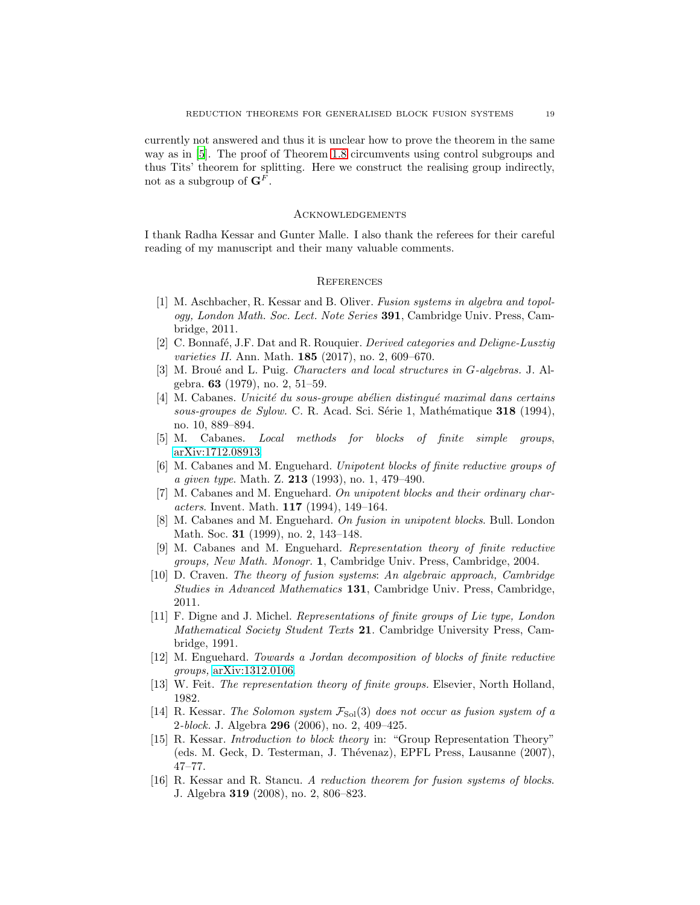currently not answered and thus it is unclear how to prove the theorem in the same way as in [\[5](#page-18-5)]. The proof of Theorem [1.8](#page-2-0) circumvents using control subgroups and thus Tits' theorem for splitting. Here we construct the realising group indirectly, not as a subgroup of  $\mathbf{G}^F$ .

#### Acknowledgements

I thank Radha Kessar and Gunter Malle. I also thank the referees for their careful reading of my manuscript and their many valuable comments.

## **REFERENCES**

- <span id="page-18-1"></span>[1] M. Aschbacher, R. Kessar and B. Oliver. *Fusion systems in algebra and topology, London Math. Soc. Lect. Note Series* 391, Cambridge Univ. Press, Cambridge, 2011.
- <span id="page-18-6"></span>[2] C. Bonnaf´e, J.F. Dat and R. Rouquier. *Derived categories and Deligne-Lusztig varieties II.* Ann. Math. 185 (2017), no. 2, 609–670.
- <span id="page-18-8"></span>[3] M. Brou´e and L. Puig. *Characters and local structures in* G*-algebras.* J. Algebra. 63 (1979), no. 2, 51–59.
- <span id="page-18-15"></span>[4] M. Cabanes. *Unicit´e du sous-groupe ab´elien distingu´e maximal dans certains* sous-groupes de Sylow. C. R. Acad. Sci. Série 1, Mathématique 318 (1994), no. 10, 889–894.
- <span id="page-18-5"></span>[5] M. Cabanes. *Local methods for blocks of finite simple groups*, [arXiv:1712.08913.](http://arxiv.org/abs/1712.08913)
- <span id="page-18-10"></span>[6] M. Cabanes and M. Enguehard. *Unipotent blocks of finite reductive groups of a given type*. Math. Z. 213 (1993), no. 1, 479–490.
- <span id="page-18-11"></span>[7] M. Cabanes and M. Enguehard. *On unipotent blocks and their ordinary characters*. Invent. Math. 117 (1994), 149–164.
- <span id="page-18-14"></span>[8] M. Cabanes and M. Enguehard. *On fusion in unipotent blocks*. Bull. London Math. Soc. **31** (1999), no. 2, 143-148.
- <span id="page-18-4"></span>[9] M. Cabanes and M. Enguehard. *Representation theory of finite reductive groups, New Math. Monogr.* 1, Cambridge Univ. Press, Cambridge, 2004.
- <span id="page-18-2"></span>[10] D. Craven. *The theory of fusion systems*: *An algebraic approach, Cambridge Studies in Advanced Mathematics* 131, Cambridge Univ. Press, Cambridge, 2011.
- <span id="page-18-12"></span>[11] F. Digne and J. Michel. *Representations of finite groups of Lie type, London Mathematical Society Student Texts* 21. Cambridge University Press, Cambridge, 1991.
- <span id="page-18-13"></span>[12] M. Enguehard. *Towards a Jordan decomposition of blocks of finite reductive groups,* [arXiv:1312.0106.](http://arxiv.org/abs/1312.0106)
- <span id="page-18-7"></span>[13] W. Feit. *The representation theory of finite groups.* Elsevier, North Holland, 1982.
- <span id="page-18-9"></span>[14] R. Kessar. *The Solomon system*  $\mathcal{F}_{Sol}(3)$  *does not occur as fusion system of a* 2*-block.* J. Algebra 296 (2006), no. 2, 409–425.
- <span id="page-18-0"></span>[15] R. Kessar. *Introduction to block theory* in: "Group Representation Theory" (eds. M. Geck, D. Testerman, J. Thévenaz), EPFL Press, Lausanne (2007), 47–77.
- <span id="page-18-3"></span>[16] R. Kessar and R. Stancu. *A reduction theorem for fusion systems of blocks*. J. Algebra 319 (2008), no. 2, 806–823.